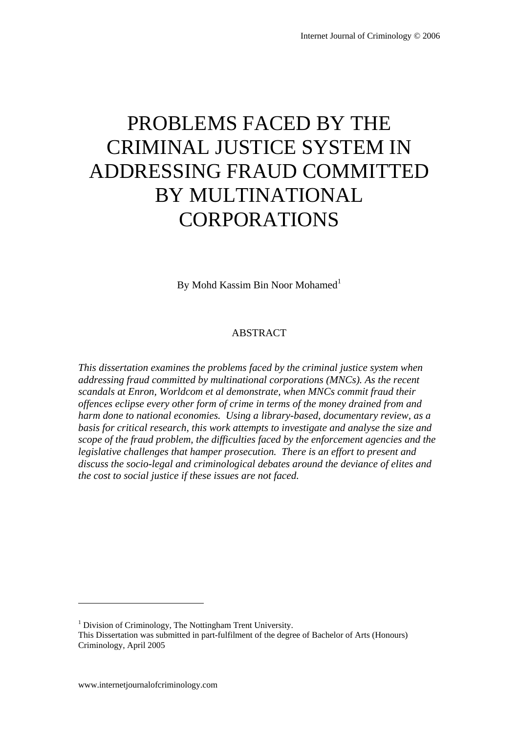# PROBLEMS FACED BY THE CRIMINAL JUSTICE SYSTEM IN ADDRESSING FRAUD COMMITTED BY MULTINATIONAL CORPORATIONS

By Mohd Kassim Bin Noor Mohamed<sup>1</sup>

#### ABSTRACT

*This dissertation examines the problems faced by the criminal justice system when addressing fraud committed by multinational corporations (MNCs). As the recent scandals at Enron, Worldcom et al demonstrate, when MNCs commit fraud their offences eclipse every other form of crime in terms of the money drained from and harm done to national economies. Using a library-based, documentary review, as a basis for critical research, this work attempts to investigate and analyse the size and scope of the fraud problem, the difficulties faced by the enforcement agencies and the legislative challenges that hamper prosecution. There is an effort to present and discuss the socio-legal and criminological debates around the deviance of elites and the cost to social justice if these issues are not faced.* 

 $\overline{a}$ 

<sup>&</sup>lt;sup>1</sup> Division of Criminology, The Nottingham Trent University.

This Dissertation was submitted in part-fulfilment of the degree of Bachelor of Arts (Honours) Criminology, April 2005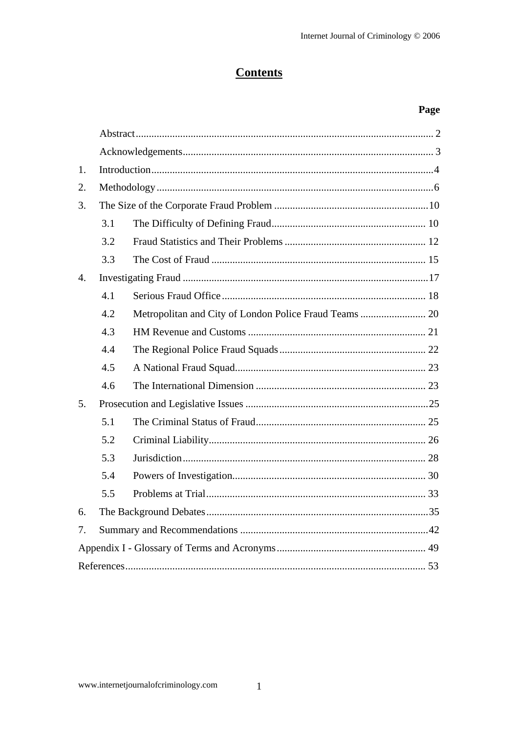# **Contents**

# Page

| 1.               |     |  |  |  |  |  |
|------------------|-----|--|--|--|--|--|
| $\overline{2}$ . |     |  |  |  |  |  |
| 3.               |     |  |  |  |  |  |
|                  | 3.1 |  |  |  |  |  |
|                  | 3.2 |  |  |  |  |  |
|                  | 3.3 |  |  |  |  |  |
| $\mathbf{4}$ .   |     |  |  |  |  |  |
|                  | 4.1 |  |  |  |  |  |
|                  | 4.2 |  |  |  |  |  |
|                  | 4.3 |  |  |  |  |  |
|                  | 4.4 |  |  |  |  |  |
|                  | 4.5 |  |  |  |  |  |
|                  | 4.6 |  |  |  |  |  |
| 5.               |     |  |  |  |  |  |
|                  | 5.1 |  |  |  |  |  |
|                  | 5.2 |  |  |  |  |  |
|                  | 5.3 |  |  |  |  |  |
|                  | 5.4 |  |  |  |  |  |
|                  | 5.5 |  |  |  |  |  |
| 6.               |     |  |  |  |  |  |
| 7.               |     |  |  |  |  |  |
|                  |     |  |  |  |  |  |
|                  |     |  |  |  |  |  |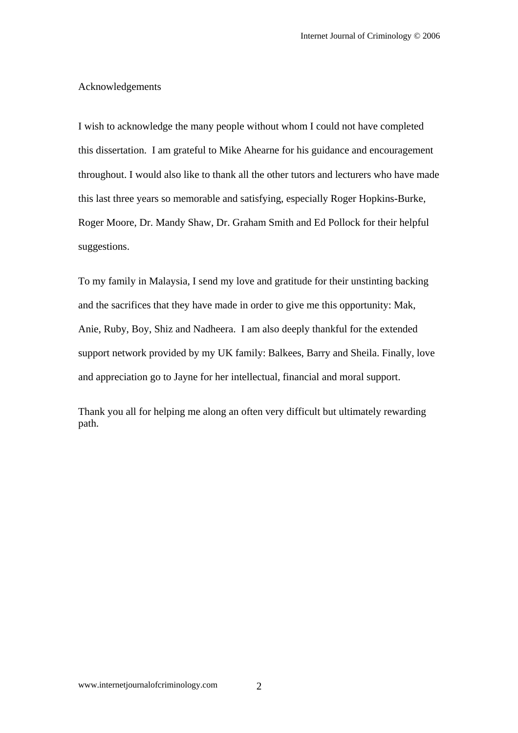#### Acknowledgements

I wish to acknowledge the many people without whom I could not have completed this dissertation. I am grateful to Mike Ahearne for his guidance and encouragement throughout. I would also like to thank all the other tutors and lecturers who have made this last three years so memorable and satisfying, especially Roger Hopkins-Burke, Roger Moore, Dr. Mandy Shaw, Dr. Graham Smith and Ed Pollock for their helpful suggestions.

To my family in Malaysia, I send my love and gratitude for their unstinting backing and the sacrifices that they have made in order to give me this opportunity: Mak, Anie, Ruby, Boy, Shiz and Nadheera. I am also deeply thankful for the extended support network provided by my UK family: Balkees, Barry and Sheila. Finally, love and appreciation go to Jayne for her intellectual, financial and moral support.

Thank you all for helping me along an often very difficult but ultimately rewarding path.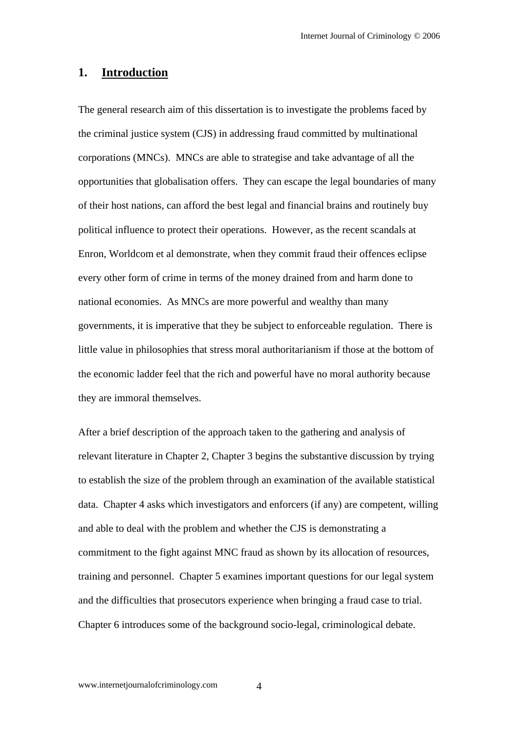# **1. Introduction**

The general research aim of this dissertation is to investigate the problems faced by the criminal justice system (CJS) in addressing fraud committed by multinational corporations (MNCs). MNCs are able to strategise and take advantage of all the opportunities that globalisation offers. They can escape the legal boundaries of many of their host nations, can afford the best legal and financial brains and routinely buy political influence to protect their operations. However, as the recent scandals at Enron, Worldcom et al demonstrate, when they commit fraud their offences eclipse every other form of crime in terms of the money drained from and harm done to national economies. As MNCs are more powerful and wealthy than many governments, it is imperative that they be subject to enforceable regulation. There is little value in philosophies that stress moral authoritarianism if those at the bottom of the economic ladder feel that the rich and powerful have no moral authority because they are immoral themselves.

After a brief description of the approach taken to the gathering and analysis of relevant literature in Chapter 2, Chapter 3 begins the substantive discussion by trying to establish the size of the problem through an examination of the available statistical data. Chapter 4 asks which investigators and enforcers (if any) are competent, willing and able to deal with the problem and whether the CJS is demonstrating a commitment to the fight against MNC fraud as shown by its allocation of resources, training and personnel. Chapter 5 examines important questions for our legal system and the difficulties that prosecutors experience when bringing a fraud case to trial. Chapter 6 introduces some of the background socio-legal, criminological debate.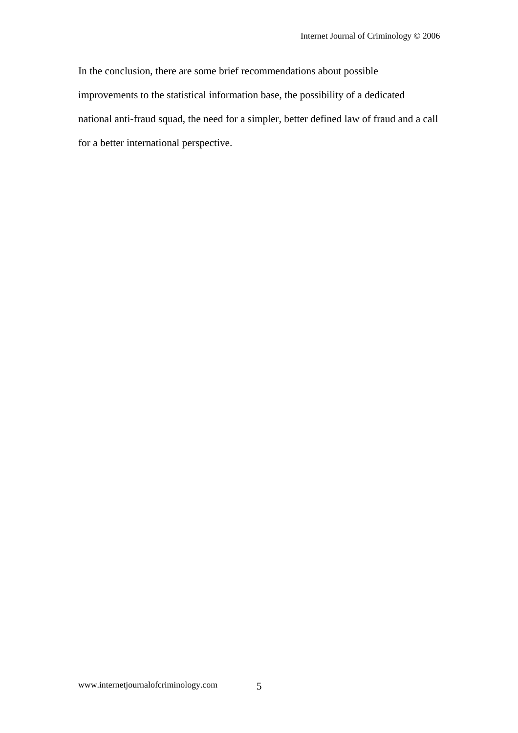In the conclusion, there are some brief recommendations about possible improvements to the statistical information base, the possibility of a dedicated national anti-fraud squad, the need for a simpler, better defined law of fraud and a call for a better international perspective.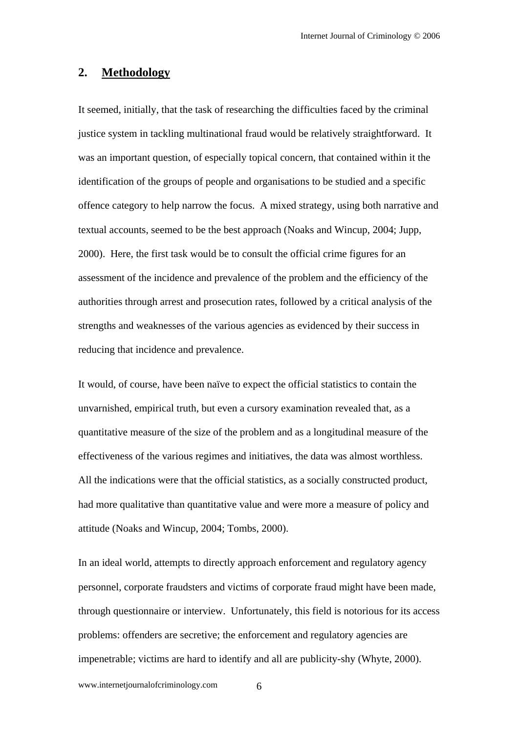# **2. Methodology**

It seemed, initially, that the task of researching the difficulties faced by the criminal justice system in tackling multinational fraud would be relatively straightforward. It was an important question, of especially topical concern, that contained within it the identification of the groups of people and organisations to be studied and a specific offence category to help narrow the focus. A mixed strategy, using both narrative and textual accounts, seemed to be the best approach (Noaks and Wincup, 2004; Jupp, 2000). Here, the first task would be to consult the official crime figures for an assessment of the incidence and prevalence of the problem and the efficiency of the authorities through arrest and prosecution rates, followed by a critical analysis of the strengths and weaknesses of the various agencies as evidenced by their success in reducing that incidence and prevalence.

It would, of course, have been naïve to expect the official statistics to contain the unvarnished, empirical truth, but even a cursory examination revealed that, as a quantitative measure of the size of the problem and as a longitudinal measure of the effectiveness of the various regimes and initiatives, the data was almost worthless. All the indications were that the official statistics, as a socially constructed product, had more qualitative than quantitative value and were more a measure of policy and attitude (Noaks and Wincup, 2004; Tombs, 2000).

In an ideal world, attempts to directly approach enforcement and regulatory agency personnel, corporate fraudsters and victims of corporate fraud might have been made, through questionnaire or interview. Unfortunately, this field is notorious for its access problems: offenders are secretive; the enforcement and regulatory agencies are impenetrable; victims are hard to identify and all are publicity-shy (Whyte, 2000).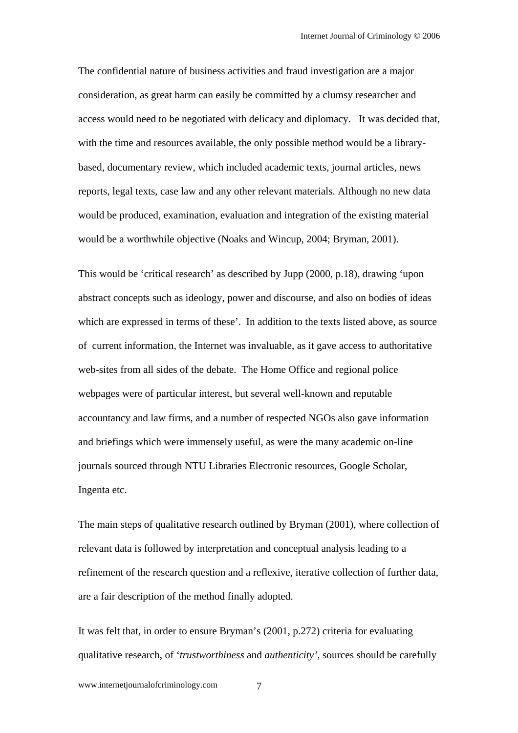The confidential nature of business activities and fraud investigation are a major consideration, as great harm can easily be committed by a clumsy researcher and access would need to be negotiated with delicacy and diplomacy. It was decided that, with the time and resources available, the only possible method would be a librarybased, documentary review, which included academic texts, journal articles, news reports, legal texts, case law and any other relevant materials. Although no new data would be produced, examination, evaluation and integration of the existing material would be a worthwhile objective (Noaks and Wincup, 2004; Bryman, 2001).

This would be 'critical research' as described by Jupp (2000, p.18), drawing 'upon abstract concepts such as ideology, power and discourse, and also on bodies of ideas which are expressed in terms of these'.In addition to the texts listed above, as source of current information, the Internet was invaluable, as it gave access to authoritative web-sites from all sides of the debate. The Home Office and regional police webpages were of particular interest, but several well-known and reputable accountancy and law firms, and a number of respected NGOs also gave information and briefings which were immensely useful, as were the many academic on-line journals sourced through NTU Libraries Electronic resources, Google Scholar, Ingenta etc.

The main steps of qualitative research outlined by Bryman (2001), where collection of relevant data is followed by interpretation and conceptual analysis leading to a refinement of the research question and a reflexive, iterative collection of further data, are a fair description of the method finally adopted.

It was felt that, in order to ensure Bryman's (2001, p.272) criteria for evaluating qualitative research, of '*trustworthiness* and *authenticity',* sources should be carefully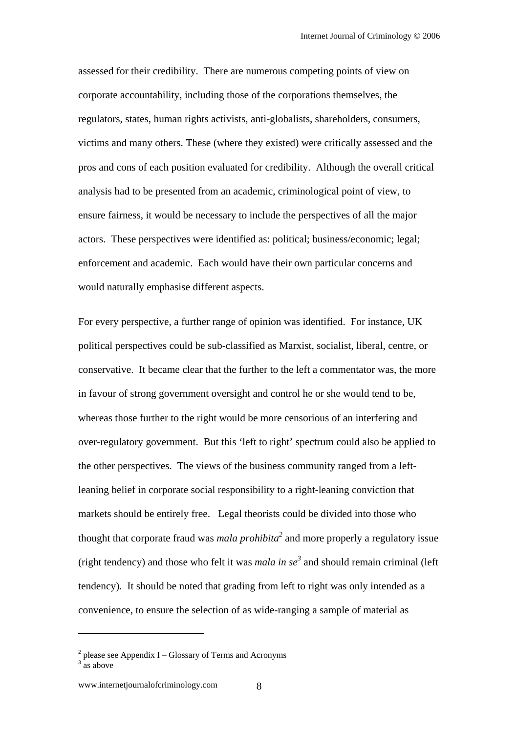assessed for their credibility. There are numerous competing points of view on corporate accountability, including those of the corporations themselves, the regulators, states, human rights activists, anti-globalists, shareholders, consumers, victims and many others. These (where they existed) were critically assessed and the pros and cons of each position evaluated for credibility.Although the overall critical analysis had to be presented from an academic, criminological point of view, to ensure fairness, it would be necessary to include the perspectives of all the major actors. These perspectives were identified as: political; business/economic; legal; enforcement and academic. Each would have their own particular concerns and would naturally emphasise different aspects.

For every perspective, a further range of opinion was identified. For instance, UK political perspectives could be sub-classified as Marxist, socialist, liberal, centre, or conservative. It became clear that the further to the left a commentator was, the more in favour of strong government oversight and control he or she would tend to be, whereas those further to the right would be more censorious of an interfering and over-regulatory government. But this 'left to right' spectrum could also be applied to the other perspectives. The views of the business community ranged from a leftleaning belief in corporate social responsibility to a right-leaning conviction that markets should be entirely free. Legal theorists could be divided into those who thought that corporate fraud was *mala prohibita2* and more properly a regulatory issue (right tendency) and those who felt it was *mala in se*<sup>3</sup> and should remain criminal (left tendency). It should be noted that grading from left to right was only intended as a convenience, to ensure the selection of as wide-ranging a sample of material as

 $\overline{a}$ 

 $2$  please see Appendix I – Glossary of Terms and Acronyms

 $3^{3}$  as above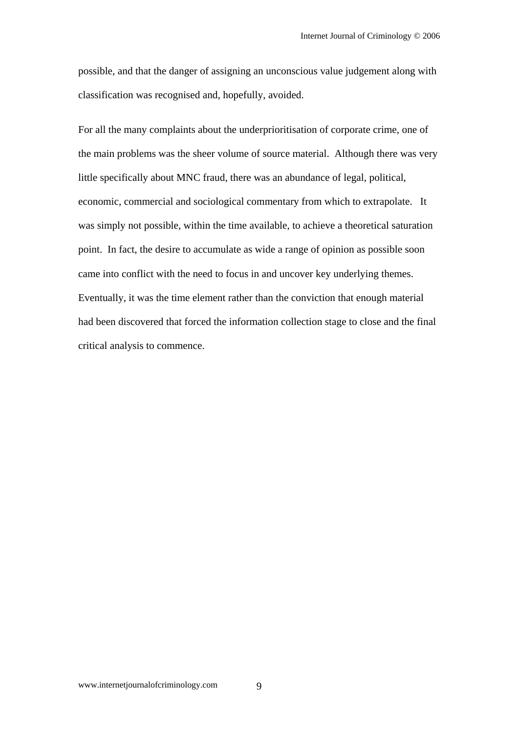possible, and that the danger of assigning an unconscious value judgement along with classification was recognised and, hopefully, avoided.

For all the many complaints about the underprioritisation of corporate crime, one of the main problems was the sheer volume of source material. Although there was very little specifically about MNC fraud, there was an abundance of legal, political, economic, commercial and sociological commentary from which to extrapolate. It was simply not possible, within the time available, to achieve a theoretical saturation point. In fact, the desire to accumulate as wide a range of opinion as possible soon came into conflict with the need to focus in and uncover key underlying themes. Eventually, it was the time element rather than the conviction that enough material had been discovered that forced the information collection stage to close and the final critical analysis to commence.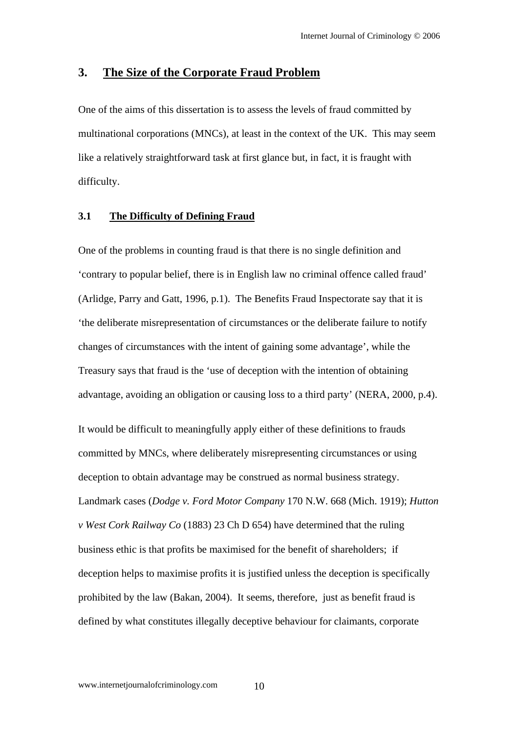# **3. The Size of the Corporate Fraud Problem**

One of the aims of this dissertation is to assess the levels of fraud committed by multinational corporations (MNCs), at least in the context of the UK. This may seem like a relatively straightforward task at first glance but, in fact, it is fraught with difficulty.

#### **3.1 The Difficulty of Defining Fraud**

One of the problems in counting fraud is that there is no single definition and 'contrary to popular belief, there is in English law no criminal offence called fraud' (Arlidge, Parry and Gatt, 1996, p.1). The Benefits Fraud Inspectorate say that it is 'the deliberate misrepresentation of circumstances or the deliberate failure to notify changes of circumstances with the intent of gaining some advantage', while the Treasury says that fraud is the 'use of deception with the intention of obtaining advantage, avoiding an obligation or causing loss to a third party' (NERA, 2000, p.4).

It would be difficult to meaningfully apply either of these definitions to frauds committed by MNCs, where deliberately misrepresenting circumstances or using deception to obtain advantage may be construed as normal business strategy. Landmark cases (*Dodge v. Ford Motor Company* 170 N.W. 668 (Mich. 1919); *Hutton v West Cork Railway Co* (1883) 23 Ch D 654) have determined that the ruling business ethic is that profits be maximised for the benefit of shareholders; if deception helps to maximise profits it is justified unless the deception is specifically prohibited by the law (Bakan, 2004). It seems, therefore, just as benefit fraud is defined by what constitutes illegally deceptive behaviour for claimants, corporate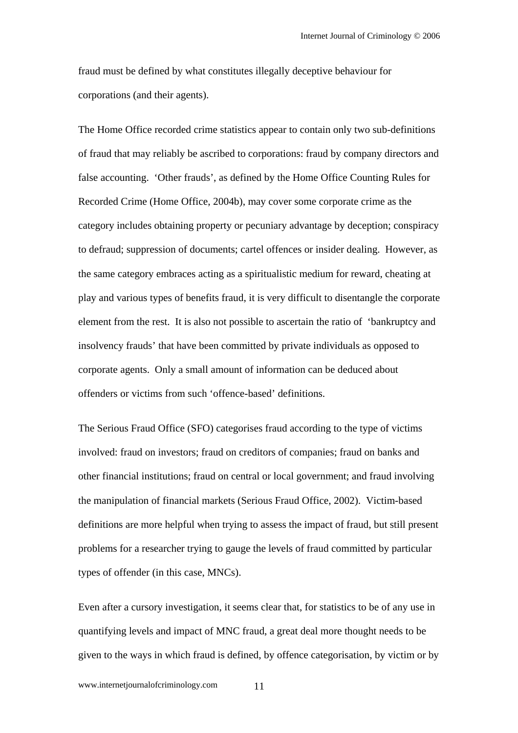fraud must be defined by what constitutes illegally deceptive behaviour for corporations (and their agents).

The Home Office recorded crime statistics appear to contain only two sub-definitions of fraud that may reliably be ascribed to corporations: fraud by company directors and false accounting. 'Other frauds', as defined by the Home Office Counting Rules for Recorded Crime (Home Office, 2004b), may cover some corporate crime as the category includes obtaining property or pecuniary advantage by deception; conspiracy to defraud; suppression of documents; cartel offences or insider dealing. However, as the same category embraces acting as a spiritualistic medium for reward, cheating at play and various types of benefits fraud, it is very difficult to disentangle the corporate element from the rest. It is also not possible to ascertain the ratio of 'bankruptcy and insolvency frauds' that have been committed by private individuals as opposed to corporate agents. Only a small amount of information can be deduced about offenders or victims from such 'offence-based' definitions.

The Serious Fraud Office (SFO) categorises fraud according to the type of victims involved: fraud on investors; fraud on creditors of companies; fraud on banks and other financial institutions; fraud on central or local government; and fraud involving the manipulation of financial markets (Serious Fraud Office, 2002). Victim-based definitions are more helpful when trying to assess the impact of fraud, but still present problems for a researcher trying to gauge the levels of fraud committed by particular types of offender (in this case, MNCs).

Even after a cursory investigation, it seems clear that, for statistics to be of any use in quantifying levels and impact of MNC fraud, a great deal more thought needs to be given to the ways in which fraud is defined, by offence categorisation, by victim or by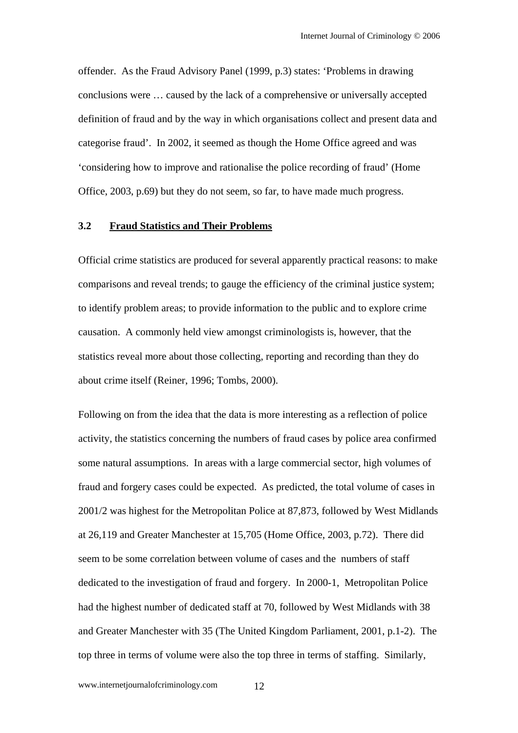offender. As the Fraud Advisory Panel (1999, p.3) states: 'Problems in drawing conclusions were … caused by the lack of a comprehensive or universally accepted definition of fraud and by the way in which organisations collect and present data and categorise fraud'. In 2002, it seemed as though the Home Office agreed and was 'considering how to improve and rationalise the police recording of fraud' (Home Office, 2003, p.69) but they do not seem, so far, to have made much progress.

#### **3.2 Fraud Statistics and Their Problems**

Official crime statistics are produced for several apparently practical reasons: to make comparisons and reveal trends; to gauge the efficiency of the criminal justice system; to identify problem areas; to provide information to the public and to explore crime causation. A commonly held view amongst criminologists is, however, that the statistics reveal more about those collecting, reporting and recording than they do about crime itself (Reiner, 1996; Tombs, 2000).

Following on from the idea that the data is more interesting as a reflection of police activity, the statistics concerning the numbers of fraud cases by police area confirmed some natural assumptions. In areas with a large commercial sector, high volumes of fraud and forgery cases could be expected. As predicted, the total volume of cases in 2001/2 was highest for the Metropolitan Police at 87,873, followed by West Midlands at 26,119 and Greater Manchester at 15,705 (Home Office, 2003, p.72). There did seem to be some correlation between volume of cases and the numbers of staff dedicated to the investigation of fraud and forgery. In 2000-1, Metropolitan Police had the highest number of dedicated staff at 70, followed by West Midlands with 38 and Greater Manchester with 35 (The United Kingdom Parliament, 2001, p.1-2). The top three in terms of volume were also the top three in terms of staffing. Similarly,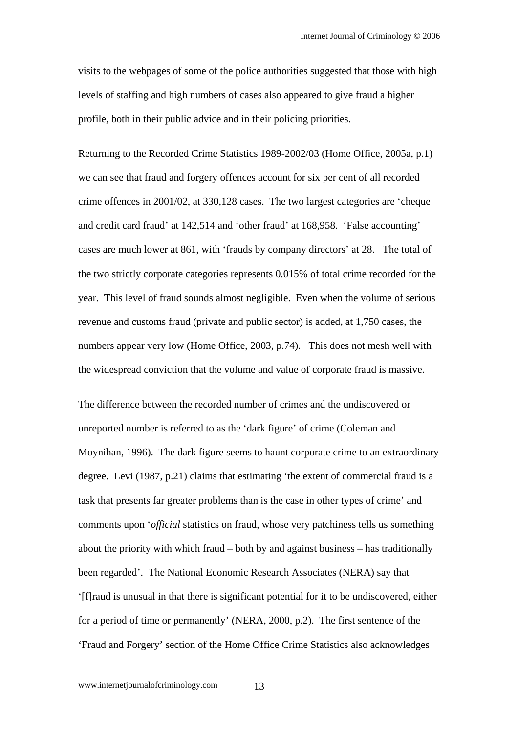visits to the webpages of some of the police authorities suggested that those with high levels of staffing and high numbers of cases also appeared to give fraud a higher profile, both in their public advice and in their policing priorities.

Returning to the Recorded Crime Statistics 1989-2002/03 (Home Office, 2005a, p.1) we can see that fraud and forgery offences account for six per cent of all recorded crime offences in 2001/02, at 330,128 cases. The two largest categories are 'cheque and credit card fraud' at 142,514 and 'other fraud' at 168,958. 'False accounting' cases are much lower at 861, with 'frauds by company directors' at 28. The total of the two strictly corporate categories represents 0.015% of total crime recorded for the year. This level of fraud sounds almost negligible. Even when the volume of serious revenue and customs fraud (private and public sector) is added, at 1,750 cases, the numbers appear very low (Home Office, 2003, p.74). This does not mesh well with the widespread conviction that the volume and value of corporate fraud is massive.

The difference between the recorded number of crimes and the undiscovered or unreported number is referred to as the 'dark figure' of crime (Coleman and Moynihan, 1996). The dark figure seems to haunt corporate crime to an extraordinary degree. Levi (1987, p.21) claims that estimating 'the extent of commercial fraud is a task that presents far greater problems than is the case in other types of crime' and comments upon '*official* statistics on fraud, whose very patchiness tells us something about the priority with which fraud – both by and against business – has traditionally been regarded'. The National Economic Research Associates (NERA) say that '[f]raud is unusual in that there is significant potential for it to be undiscovered, either for a period of time or permanently' (NERA, 2000, p.2). The first sentence of the 'Fraud and Forgery' section of the Home Office Crime Statistics also acknowledges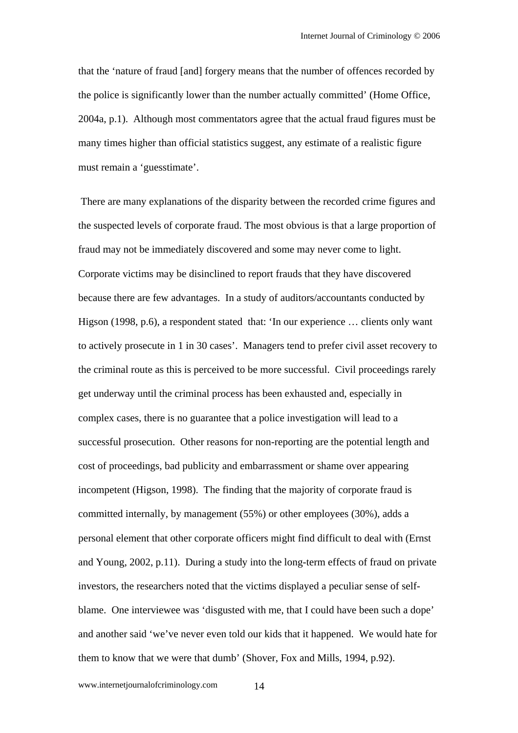that the 'nature of fraud [and] forgery means that the number of offences recorded by the police is significantly lower than the number actually committed' (Home Office, 2004a, p.1). Although most commentators agree that the actual fraud figures must be many times higher than official statistics suggest, any estimate of a realistic figure must remain a 'guesstimate'.

 There are many explanations of the disparity between the recorded crime figures and the suspected levels of corporate fraud. The most obvious is that a large proportion of fraud may not be immediately discovered and some may never come to light. Corporate victims may be disinclined to report frauds that they have discovered because there are few advantages. In a study of auditors/accountants conducted by Higson (1998, p.6), a respondent stated that: 'In our experience ... clients only want to actively prosecute in 1 in 30 cases'. Managers tend to prefer civil asset recovery to the criminal route as this is perceived to be more successful. Civil proceedings rarely get underway until the criminal process has been exhausted and, especially in complex cases, there is no guarantee that a police investigation will lead to a successful prosecution. Other reasons for non-reporting are the potential length and cost of proceedings, bad publicity and embarrassment or shame over appearing incompetent (Higson, 1998). The finding that the majority of corporate fraud is committed internally, by management (55%) or other employees (30%), adds a personal element that other corporate officers might find difficult to deal with (Ernst and Young, 2002, p.11). During a study into the long-term effects of fraud on private investors, the researchers noted that the victims displayed a peculiar sense of selfblame. One interviewee was 'disgusted with me, that I could have been such a dope' and another said 'we've never even told our kids that it happened. We would hate for them to know that we were that dumb' (Shover, Fox and Mills, 1994, p.92).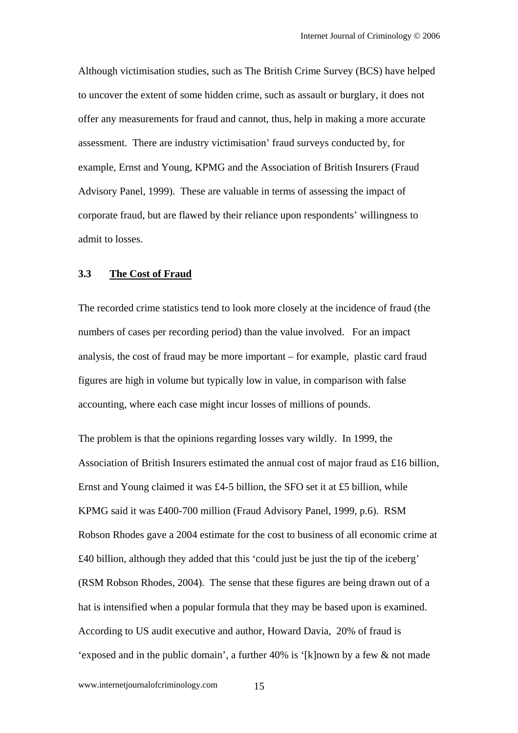Although victimisation studies, such as The British Crime Survey (BCS) have helped to uncover the extent of some hidden crime, such as assault or burglary, it does not offer any measurements for fraud and cannot, thus, help in making a more accurate assessment. There are industry victimisation' fraud surveys conducted by, for example, Ernst and Young, KPMG and the Association of British Insurers (Fraud Advisory Panel, 1999). These are valuable in terms of assessing the impact of corporate fraud, but are flawed by their reliance upon respondents' willingness to admit to losses.

#### **3.3 The Cost of Fraud**

The recorded crime statistics tend to look more closely at the incidence of fraud (the numbers of cases per recording period) than the value involved. For an impact analysis, the cost of fraud may be more important – for example, plastic card fraud figures are high in volume but typically low in value, in comparison with false accounting, where each case might incur losses of millions of pounds.

The problem is that the opinions regarding losses vary wildly. In 1999, the Association of British Insurers estimated the annual cost of major fraud as £16 billion, Ernst and Young claimed it was £4-5 billion, the SFO set it at £5 billion, while KPMG said it was £400-700 million (Fraud Advisory Panel, 1999, p.6). RSM Robson Rhodes gave a 2004 estimate for the cost to business of all economic crime at £40 billion, although they added that this 'could just be just the tip of the iceberg' (RSM Robson Rhodes, 2004). The sense that these figures are being drawn out of a hat is intensified when a popular formula that they may be based upon is examined. According to US audit executive and author, Howard Davia, 20% of fraud is 'exposed and in the public domain', a further 40% is '[k]nown by a few & not made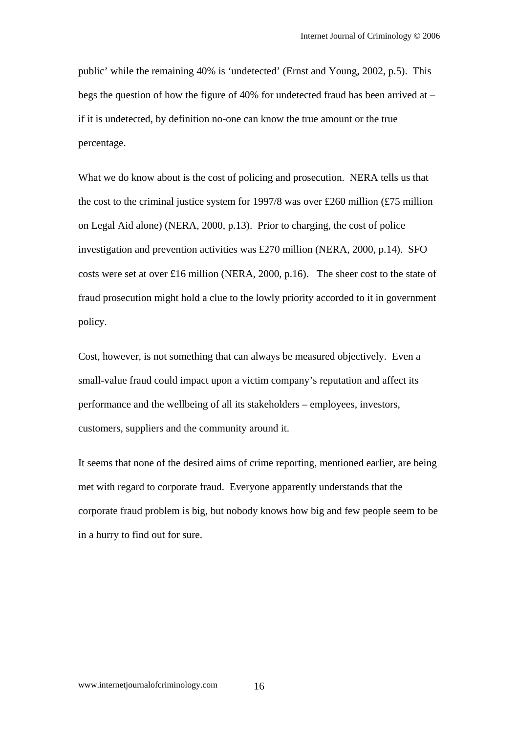public' while the remaining 40% is 'undetected' (Ernst and Young, 2002, p.5). This begs the question of how the figure of 40% for undetected fraud has been arrived at – if it is undetected, by definition no-one can know the true amount or the true percentage.

What we do know about is the cost of policing and prosecution. NERA tells us that the cost to the criminal justice system for 1997/8 was over £260 million (£75 million on Legal Aid alone) (NERA, 2000, p.13). Prior to charging, the cost of police investigation and prevention activities was £270 million (NERA, 2000, p.14). SFO costs were set at over £16 million (NERA, 2000, p.16). The sheer cost to the state of fraud prosecution might hold a clue to the lowly priority accorded to it in government policy.

Cost, however, is not something that can always be measured objectively. Even a small-value fraud could impact upon a victim company's reputation and affect its performance and the wellbeing of all its stakeholders – employees, investors, customers, suppliers and the community around it.

It seems that none of the desired aims of crime reporting, mentioned earlier, are being met with regard to corporate fraud. Everyone apparently understands that the corporate fraud problem is big, but nobody knows how big and few people seem to be in a hurry to find out for sure.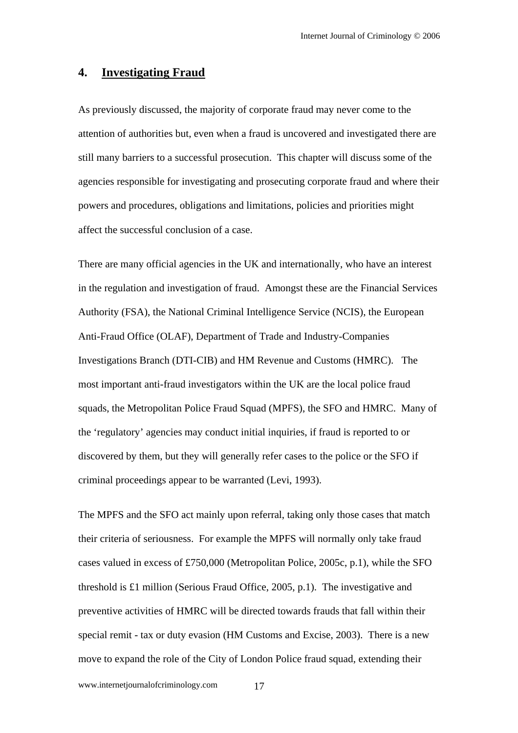# **4. Investigating Fraud**

As previously discussed, the majority of corporate fraud may never come to the attention of authorities but, even when a fraud is uncovered and investigated there are still many barriers to a successful prosecution. This chapter will discuss some of the agencies responsible for investigating and prosecuting corporate fraud and where their powers and procedures, obligations and limitations, policies and priorities might affect the successful conclusion of a case.

There are many official agencies in the UK and internationally, who have an interest in the regulation and investigation of fraud. Amongst these are the Financial Services Authority (FSA), the National Criminal Intelligence Service (NCIS), the European Anti-Fraud Office (OLAF), Department of Trade and Industry-Companies Investigations Branch (DTI-CIB) and HM Revenue and Customs (HMRC). The most important anti-fraud investigators within the UK are the local police fraud squads, the Metropolitan Police Fraud Squad (MPFS), the SFO and HMRC. Many of the 'regulatory' agencies may conduct initial inquiries, if fraud is reported to or discovered by them, but they will generally refer cases to the police or the SFO if criminal proceedings appear to be warranted (Levi, 1993).

The MPFS and the SFO act mainly upon referral, taking only those cases that match their criteria of seriousness. For example the MPFS will normally only take fraud cases valued in excess of £750,000 (Metropolitan Police, 2005c, p.1), while the SFO threshold is £1 million (Serious Fraud Office, 2005, p.1). The investigative and preventive activities of HMRC will be directed towards frauds that fall within their special remit - tax or duty evasion (HM Customs and Excise, 2003). There is a new move to expand the role of the City of London Police fraud squad, extending their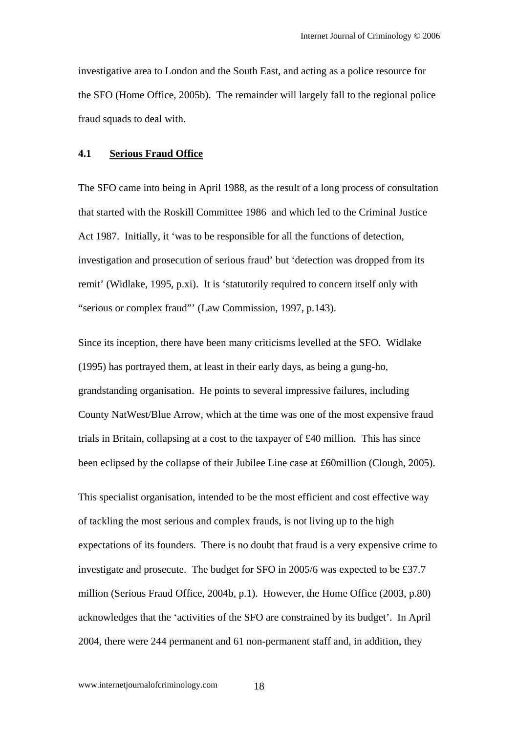investigative area to London and the South East, and acting as a police resource for the SFO (Home Office, 2005b). The remainder will largely fall to the regional police fraud squads to deal with.

#### **4.1 Serious Fraud Office**

The SFO came into being in April 1988, as the result of a long process of consultation that started with the Roskill Committee 1986 and which led to the Criminal Justice Act 1987. Initially, it 'was to be responsible for all the functions of detection, investigation and prosecution of serious fraud' but 'detection was dropped from its remit' (Widlake, 1995, p.xi). It is 'statutorily required to concern itself only with "serious or complex fraud"' (Law Commission, 1997, p.143).

Since its inception, there have been many criticisms levelled at the SFO. Widlake (1995) has portrayed them, at least in their early days, as being a gung-ho, grandstanding organisation. He points to several impressive failures, including County NatWest/Blue Arrow, which at the time was one of the most expensive fraud trials in Britain, collapsing at a cost to the taxpayer of £40 million. This has since been eclipsed by the collapse of their Jubilee Line case at £60million (Clough, 2005).

This specialist organisation, intended to be the most efficient and cost effective way of tackling the most serious and complex frauds, is not living up to the high expectations of its founders. There is no doubt that fraud is a very expensive crime to investigate and prosecute. The budget for SFO in 2005/6 was expected to be £37.7 million (Serious Fraud Office, 2004b, p.1). However, the Home Office (2003, p.80) acknowledges that the 'activities of the SFO are constrained by its budget'. In April 2004, there were 244 permanent and 61 non-permanent staff and, in addition, they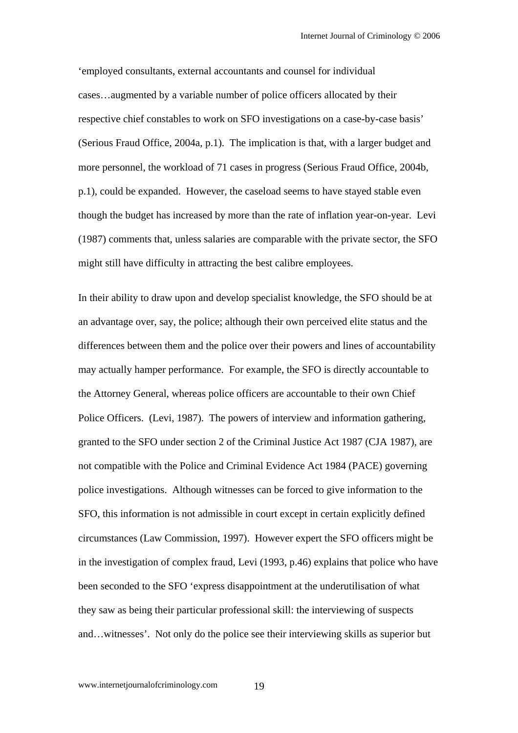'employed consultants, external accountants and counsel for individual cases…augmented by a variable number of police officers allocated by their respective chief constables to work on SFO investigations on a case-by-case basis' (Serious Fraud Office, 2004a, p.1). The implication is that, with a larger budget and more personnel, the workload of 71 cases in progress (Serious Fraud Office, 2004b, p.1), could be expanded. However, the caseload seems to have stayed stable even though the budget has increased by more than the rate of inflation year-on-year. Levi (1987) comments that, unless salaries are comparable with the private sector, the SFO might still have difficulty in attracting the best calibre employees.

In their ability to draw upon and develop specialist knowledge, the SFO should be at an advantage over, say, the police; although their own perceived elite status and the differences between them and the police over their powers and lines of accountability may actually hamper performance. For example, the SFO is directly accountable to the Attorney General, whereas police officers are accountable to their own Chief Police Officers. (Levi, 1987). The powers of interview and information gathering, granted to the SFO under section 2 of the Criminal Justice Act 1987 (CJA 1987), are not compatible with the Police and Criminal Evidence Act 1984 (PACE) governing police investigations. Although witnesses can be forced to give information to the SFO, this information is not admissible in court except in certain explicitly defined circumstances (Law Commission, 1997). However expert the SFO officers might be in the investigation of complex fraud, Levi (1993, p.46) explains that police who have been seconded to the SFO 'express disappointment at the underutilisation of what they saw as being their particular professional skill: the interviewing of suspects and…witnesses'. Not only do the police see their interviewing skills as superior but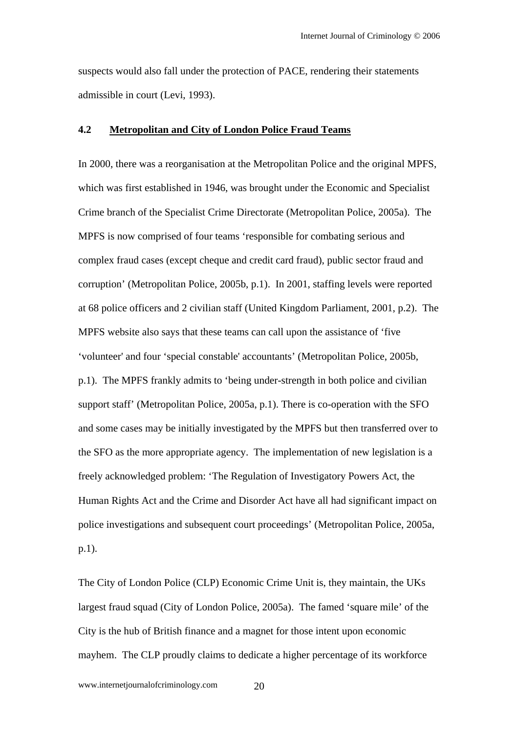suspects would also fall under the protection of PACE, rendering their statements admissible in court (Levi, 1993).

#### **4.2 Metropolitan and City of London Police Fraud Teams**

In 2000, there was a reorganisation at the Metropolitan Police and the original MPFS, which was first established in 1946, was brought under the Economic and Specialist Crime branch of the Specialist Crime Directorate (Metropolitan Police, 2005a). The MPFS is now comprised of four teams 'responsible for combating serious and complex fraud cases (except cheque and credit card fraud), public sector fraud and corruption' (Metropolitan Police, 2005b, p.1). In 2001, staffing levels were reported at 68 police officers and 2 civilian staff (United Kingdom Parliament, 2001, p.2). The MPFS website also says that these teams can call upon the assistance of 'five 'volunteer' and four 'special constable' accountants' (Metropolitan Police, 2005b, p.1). The MPFS frankly admits to 'being under-strength in both police and civilian support staff' (Metropolitan Police, 2005a, p.1). There is co-operation with the SFO and some cases may be initially investigated by the MPFS but then transferred over to the SFO as the more appropriate agency. The implementation of new legislation is a freely acknowledged problem: 'The Regulation of Investigatory Powers Act, the Human Rights Act and the Crime and Disorder Act have all had significant impact on police investigations and subsequent court proceedings' (Metropolitan Police, 2005a, p.1).

The City of London Police (CLP) Economic Crime Unit is, they maintain, the UKs largest fraud squad (City of London Police, 2005a). The famed 'square mile' of the City is the hub of British finance and a magnet for those intent upon economic mayhem. The CLP proudly claims to dedicate a higher percentage of its workforce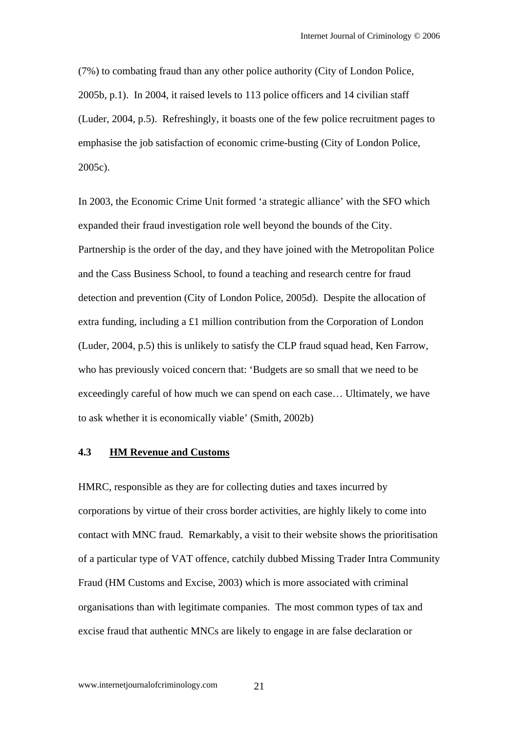(7%) to combating fraud than any other police authority (City of London Police, 2005b, p.1). In 2004, it raised levels to 113 police officers and 14 civilian staff (Luder, 2004, p.5). Refreshingly, it boasts one of the few police recruitment pages to emphasise the job satisfaction of economic crime-busting (City of London Police, 2005c).

In 2003, the Economic Crime Unit formed 'a strategic alliance' with the SFO which expanded their fraud investigation role well beyond the bounds of the City. Partnership is the order of the day, and they have joined with the Metropolitan Police and the Cass Business School, to found a teaching and research centre for fraud detection and prevention (City of London Police, 2005d). Despite the allocation of extra funding, including a £1 million contribution from the Corporation of London (Luder, 2004, p.5) this is unlikely to satisfy the CLP fraud squad head, Ken Farrow, who has previously voiced concern that: 'Budgets are so small that we need to be exceedingly careful of how much we can spend on each case… Ultimately, we have to ask whether it is economically viable' (Smith, 2002b)

#### **4.3 HM Revenue and Customs**

HMRC, responsible as they are for collecting duties and taxes incurred by corporations by virtue of their cross border activities, are highly likely to come into contact with MNC fraud. Remarkably, a visit to their website shows the prioritisation of a particular type of VAT offence, catchily dubbed Missing Trader Intra Community Fraud (HM Customs and Excise, 2003) which is more associated with criminal organisations than with legitimate companies. The most common types of tax and excise fraud that authentic MNCs are likely to engage in are false declaration or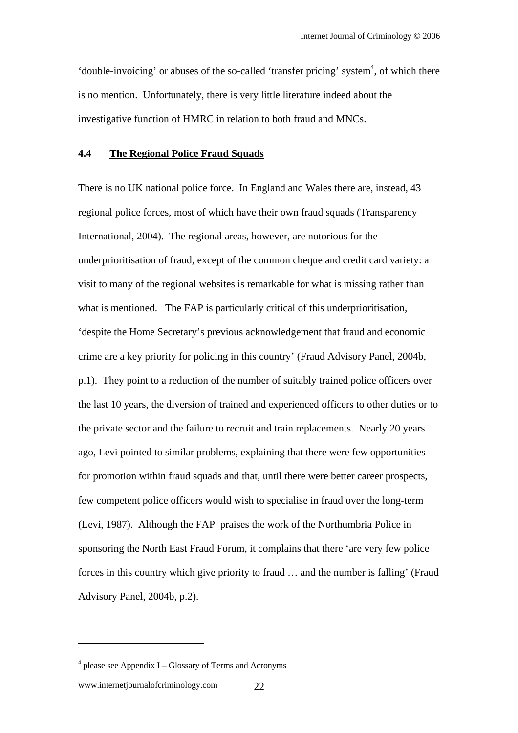'double-invoicing' or abuses of the so-called 'transfer pricing' system<sup>4</sup>, of which there is no mention. Unfortunately, there is very little literature indeed about the investigative function of HMRC in relation to both fraud and MNCs.

#### **4.4 The Regional Police Fraud Squads**

There is no UK national police force. In England and Wales there are, instead, 43 regional police forces, most of which have their own fraud squads (Transparency International, 2004). The regional areas, however, are notorious for the underprioritisation of fraud, except of the common cheque and credit card variety: a visit to many of the regional websites is remarkable for what is missing rather than what is mentioned. The FAP is particularly critical of this underprioritisation, 'despite the Home Secretary's previous acknowledgement that fraud and economic crime are a key priority for policing in this country' (Fraud Advisory Panel, 2004b, p.1). They point to a reduction of the number of suitably trained police officers over the last 10 years, the diversion of trained and experienced officers to other duties or to the private sector and the failure to recruit and train replacements. Nearly 20 years ago, Levi pointed to similar problems, explaining that there were few opportunities for promotion within fraud squads and that, until there were better career prospects, few competent police officers would wish to specialise in fraud over the long-term (Levi, 1987). Although the FAP praises the work of the Northumbria Police in sponsoring the North East Fraud Forum, it complains that there 'are very few police forces in this country which give priority to fraud … and the number is falling' (Fraud Advisory Panel, 2004b, p.2).

 $\overline{a}$ 

<sup>4</sup> please see Appendix I – Glossary of Terms and Acronyms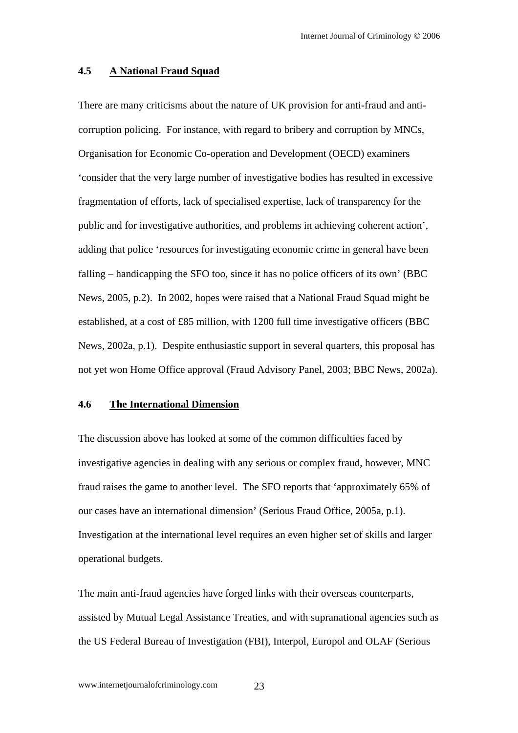#### **4.5 A National Fraud Squad**

There are many criticisms about the nature of UK provision for anti-fraud and anticorruption policing. For instance, with regard to bribery and corruption by MNCs, Organisation for Economic Co-operation and Development (OECD) examiners 'consider that the very large number of investigative bodies has resulted in excessive fragmentation of efforts, lack of specialised expertise, lack of transparency for the public and for investigative authorities, and problems in achieving coherent action', adding that police 'resources for investigating economic crime in general have been falling – handicapping the SFO too, since it has no police officers of its own' (BBC News, 2005, p.2). In 2002, hopes were raised that a National Fraud Squad might be established, at a cost of £85 million, with 1200 full time investigative officers (BBC News, 2002a, p.1). Despite enthusiastic support in several quarters, this proposal has not yet won Home Office approval (Fraud Advisory Panel, 2003; BBC News, 2002a).

#### **4.6 The International Dimension**

The discussion above has looked at some of the common difficulties faced by investigative agencies in dealing with any serious or complex fraud, however, MNC fraud raises the game to another level. The SFO reports that 'approximately 65% of our cases have an international dimension' (Serious Fraud Office, 2005a, p.1). Investigation at the international level requires an even higher set of skills and larger operational budgets.

The main anti-fraud agencies have forged links with their overseas counterparts, assisted by Mutual Legal Assistance Treaties, and with supranational agencies such as the US Federal Bureau of Investigation (FBI), Interpol, Europol and OLAF (Serious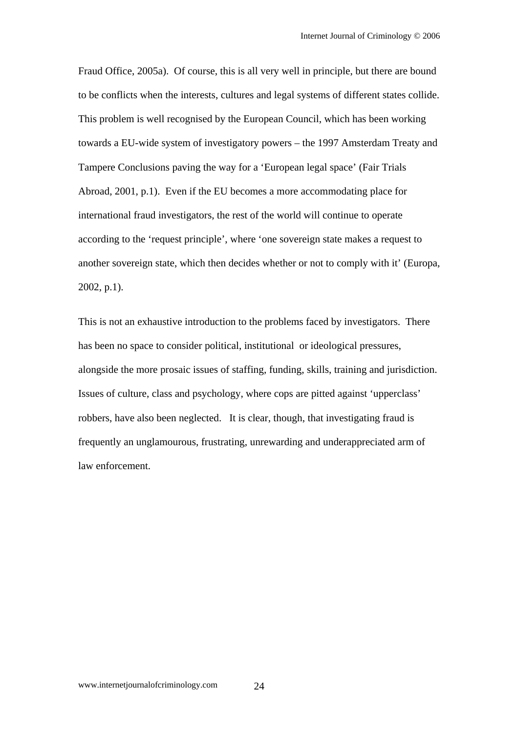Fraud Office, 2005a). Of course, this is all very well in principle, but there are bound to be conflicts when the interests, cultures and legal systems of different states collide. This problem is well recognised by the European Council, which has been working towards a EU-wide system of investigatory powers – the 1997 Amsterdam Treaty and Tampere Conclusions paving the way for a 'European legal space' (Fair Trials Abroad, 2001, p.1). Even if the EU becomes a more accommodating place for international fraud investigators, the rest of the world will continue to operate according to the 'request principle', where 'one sovereign state makes a request to another sovereign state, which then decides whether or not to comply with it' (Europa, 2002, p.1).

This is not an exhaustive introduction to the problems faced by investigators. There has been no space to consider political, institutional or ideological pressures, alongside the more prosaic issues of staffing, funding, skills, training and jurisdiction. Issues of culture, class and psychology, where cops are pitted against 'upperclass' robbers, have also been neglected. It is clear, though, that investigating fraud is frequently an unglamourous, frustrating, unrewarding and underappreciated arm of law enforcement.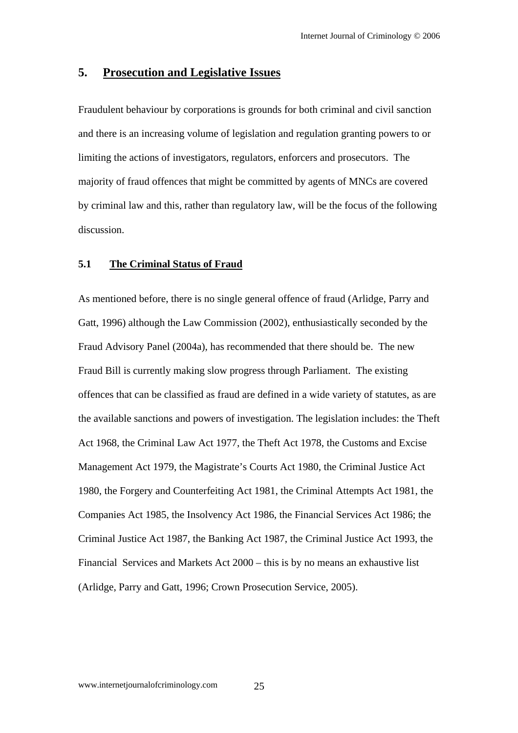# **5. Prosecution and Legislative Issues**

Fraudulent behaviour by corporations is grounds for both criminal and civil sanction and there is an increasing volume of legislation and regulation granting powers to or limiting the actions of investigators, regulators, enforcers and prosecutors. The majority of fraud offences that might be committed by agents of MNCs are covered by criminal law and this, rather than regulatory law, will be the focus of the following discussion.

#### **5.1 The Criminal Status of Fraud**

As mentioned before, there is no single general offence of fraud (Arlidge, Parry and Gatt, 1996) although the Law Commission (2002), enthusiastically seconded by the Fraud Advisory Panel (2004a), has recommended that there should be. The new Fraud Bill is currently making slow progress through Parliament. The existing offences that can be classified as fraud are defined in a wide variety of statutes, as are the available sanctions and powers of investigation. The legislation includes: the Theft Act 1968, the Criminal Law Act 1977, the Theft Act 1978, the Customs and Excise Management Act 1979, the Magistrate's Courts Act 1980, the Criminal Justice Act 1980, the Forgery and Counterfeiting Act 1981, the Criminal Attempts Act 1981, the Companies Act 1985, the Insolvency Act 1986, the Financial Services Act 1986; the Criminal Justice Act 1987, the Banking Act 1987, the Criminal Justice Act 1993, the Financial Services and Markets Act 2000 – this is by no means an exhaustive list (Arlidge, Parry and Gatt, 1996; Crown Prosecution Service, 2005).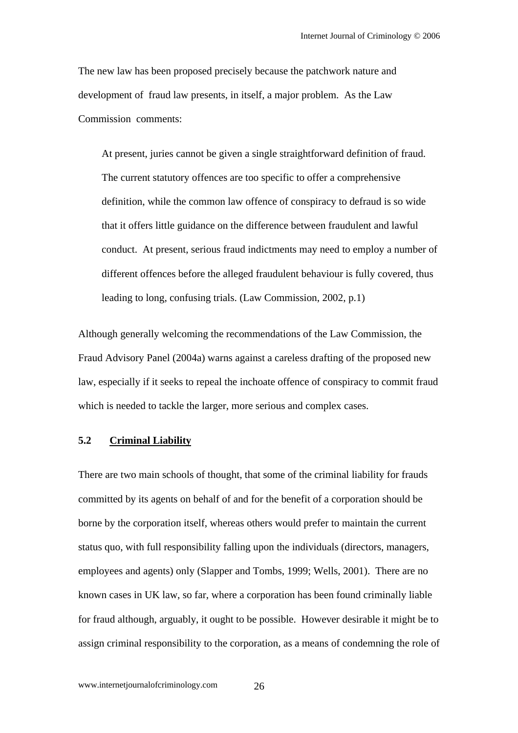The new law has been proposed precisely because the patchwork nature and development of fraud law presents, in itself, a major problem. As the Law Commission comments:

At present, juries cannot be given a single straightforward definition of fraud. The current statutory offences are too specific to offer a comprehensive definition, while the common law offence of conspiracy to defraud is so wide that it offers little guidance on the difference between fraudulent and lawful conduct. At present, serious fraud indictments may need to employ a number of different offences before the alleged fraudulent behaviour is fully covered, thus leading to long, confusing trials. (Law Commission, 2002, p.1)

Although generally welcoming the recommendations of the Law Commission, the Fraud Advisory Panel (2004a) warns against a careless drafting of the proposed new law, especially if it seeks to repeal the inchoate offence of conspiracy to commit fraud which is needed to tackle the larger, more serious and complex cases.

#### **5.2 Criminal Liability**

There are two main schools of thought, that some of the criminal liability for frauds committed by its agents on behalf of and for the benefit of a corporation should be borne by the corporation itself, whereas others would prefer to maintain the current status quo, with full responsibility falling upon the individuals (directors, managers, employees and agents) only (Slapper and Tombs, 1999; Wells, 2001). There are no known cases in UK law, so far, where a corporation has been found criminally liable for fraud although, arguably, it ought to be possible. However desirable it might be to assign criminal responsibility to the corporation, as a means of condemning the role of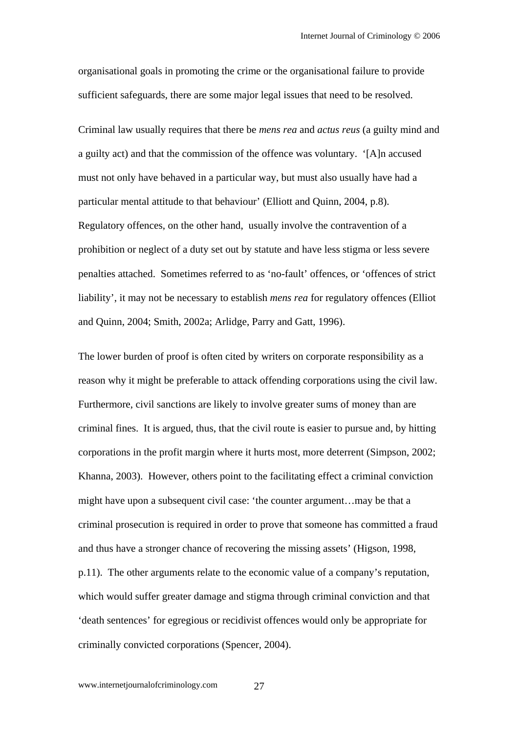organisational goals in promoting the crime or the organisational failure to provide sufficient safeguards, there are some major legal issues that need to be resolved.

Criminal law usually requires that there be *mens rea* and *actus reus* (a guilty mind and a guilty act) and that the commission of the offence was voluntary. '[A]n accused must not only have behaved in a particular way, but must also usually have had a particular mental attitude to that behaviour' (Elliott and Quinn, 2004, p.8). Regulatory offences, on the other hand, usually involve the contravention of a prohibition or neglect of a duty set out by statute and have less stigma or less severe penalties attached. Sometimes referred to as 'no-fault' offences, or 'offences of strict liability', it may not be necessary to establish *mens rea* for regulatory offences (Elliot and Quinn, 2004; Smith, 2002a; Arlidge, Parry and Gatt, 1996).

The lower burden of proof is often cited by writers on corporate responsibility as a reason why it might be preferable to attack offending corporations using the civil law. Furthermore, civil sanctions are likely to involve greater sums of money than are criminal fines. It is argued, thus, that the civil route is easier to pursue and, by hitting corporations in the profit margin where it hurts most, more deterrent (Simpson, 2002; Khanna, 2003). However, others point to the facilitating effect a criminal conviction might have upon a subsequent civil case: 'the counter argument…may be that a criminal prosecution is required in order to prove that someone has committed a fraud and thus have a stronger chance of recovering the missing assets' (Higson, 1998, p.11). The other arguments relate to the economic value of a company's reputation, which would suffer greater damage and stigma through criminal conviction and that 'death sentences' for egregious or recidivist offences would only be appropriate for criminally convicted corporations (Spencer, 2004).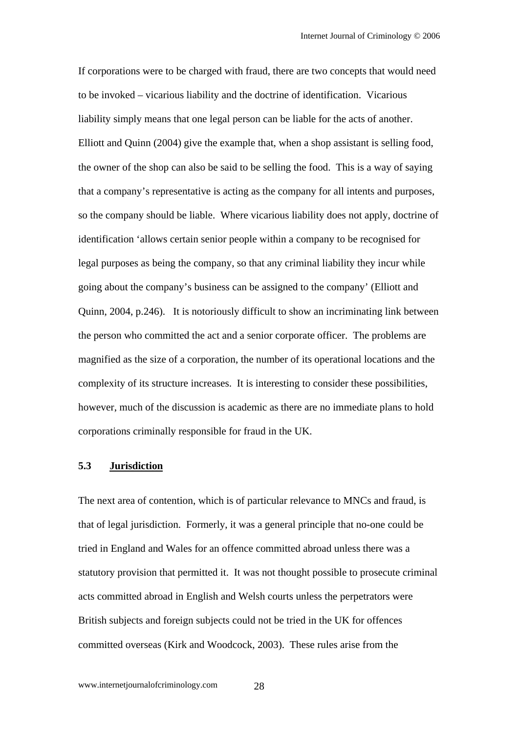If corporations were to be charged with fraud, there are two concepts that would need to be invoked – vicarious liability and the doctrine of identification. Vicarious liability simply means that one legal person can be liable for the acts of another. Elliott and Quinn (2004) give the example that, when a shop assistant is selling food, the owner of the shop can also be said to be selling the food. This is a way of saying that a company's representative is acting as the company for all intents and purposes, so the company should be liable. Where vicarious liability does not apply, doctrine of identification 'allows certain senior people within a company to be recognised for legal purposes as being the company, so that any criminal liability they incur while going about the company's business can be assigned to the company' (Elliott and Quinn, 2004, p.246). It is notoriously difficult to show an incriminating link between the person who committed the act and a senior corporate officer. The problems are magnified as the size of a corporation, the number of its operational locations and the complexity of its structure increases. It is interesting to consider these possibilities, however, much of the discussion is academic as there are no immediate plans to hold corporations criminally responsible for fraud in the UK.

#### **5.3 Jurisdiction**

The next area of contention, which is of particular relevance to MNCs and fraud, is that of legal jurisdiction. Formerly, it was a general principle that no-one could be tried in England and Wales for an offence committed abroad unless there was a statutory provision that permitted it. It was not thought possible to prosecute criminal acts committed abroad in English and Welsh courts unless the perpetrators were British subjects and foreign subjects could not be tried in the UK for offences committed overseas (Kirk and Woodcock, 2003). These rules arise from the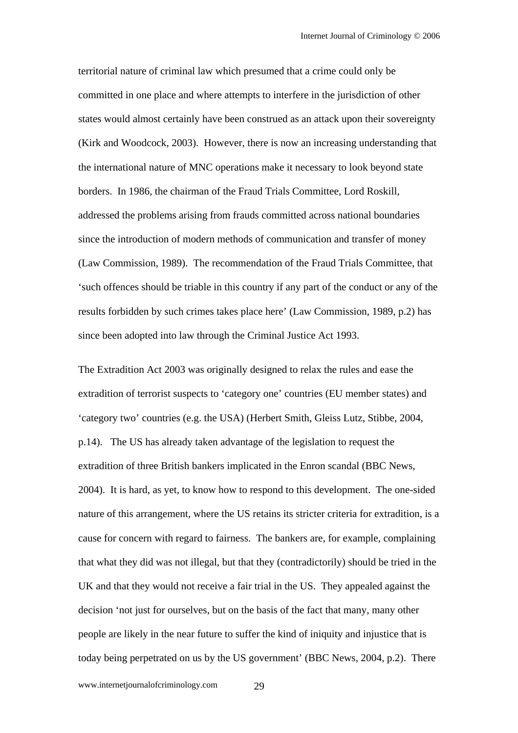territorial nature of criminal law which presumed that a crime could only be committed in one place and where attempts to interfere in the jurisdiction of other states would almost certainly have been construed as an attack upon their sovereignty (Kirk and Woodcock, 2003). However, there is now an increasing understanding that the international nature of MNC operations make it necessary to look beyond state borders. In 1986, the chairman of the Fraud Trials Committee, Lord Roskill, addressed the problems arising from frauds committed across national boundaries since the introduction of modern methods of communication and transfer of money (Law Commission, 1989). The recommendation of the Fraud Trials Committee, that 'such offences should be triable in this country if any part of the conduct or any of the results forbidden by such crimes takes place here' (Law Commission, 1989, p.2) has since been adopted into law through the Criminal Justice Act 1993.

The Extradition Act 2003 was originally designed to relax the rules and ease the extradition of terrorist suspects to 'category one' countries (EU member states) and 'category two' countries (e.g. the USA) (Herbert Smith, Gleiss Lutz, Stibbe, 2004, p.14). The US has already taken advantage of the legislation to request the extradition of three British bankers implicated in the Enron scandal (BBC News, 2004). It is hard, as yet, to know how to respond to this development. The one-sided nature of this arrangement, where the US retains its stricter criteria for extradition, is a cause for concern with regard to fairness. The bankers are, for example, complaining that what they did was not illegal, but that they (contradictorily) should be tried in the UK and that they would not receive a fair trial in the US. They appealed against the decision 'not just for ourselves, but on the basis of the fact that many, many other people are likely in the near future to suffer the kind of iniquity and injustice that is today being perpetrated on us by the US government' (BBC News, 2004, p.2). There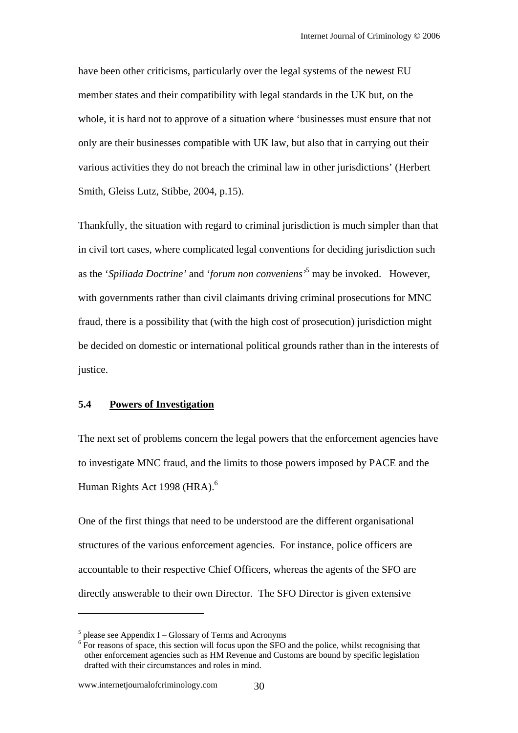have been other criticisms, particularly over the legal systems of the newest EU member states and their compatibility with legal standards in the UK but, on the whole, it is hard not to approve of a situation where 'businesses must ensure that not only are their businesses compatible with UK law, but also that in carrying out their various activities they do not breach the criminal law in other jurisdictions' (Herbert Smith, Gleiss Lutz, Stibbe, 2004, p.15).

Thankfully, the situation with regard to criminal jurisdiction is much simpler than that in civil tort cases, where complicated legal conventions for deciding jurisdiction such as the '*Spiliada Doctrine'* and '*forum non conveniens'*<sup>5</sup> may be invoked. However, with governments rather than civil claimants driving criminal prosecutions for MNC fraud, there is a possibility that (with the high cost of prosecution) jurisdiction might be decided on domestic or international political grounds rather than in the interests of justice.

#### **5.4 Powers of Investigation**

The next set of problems concern the legal powers that the enforcement agencies have to investigate MNC fraud, and the limits to those powers imposed by PACE and the Human Rights Act 1998 (HRA).<sup>6</sup>

One of the first things that need to be understood are the different organisational structures of the various enforcement agencies. For instance, police officers are accountable to their respective Chief Officers, whereas the agents of the SFO are directly answerable to their own Director. The SFO Director is given extensive

 $\overline{a}$ 

 $<sup>5</sup>$  please see Appendix I – Glossary of Terms and Acronyms</sup>

<sup>&</sup>lt;sup>6</sup> For reasons of space, this section will focus upon the SFO and the police, whilst recognising that other enforcement agencies such as HM Revenue and Customs are bound by specific legislation drafted with their circumstances and roles in mind.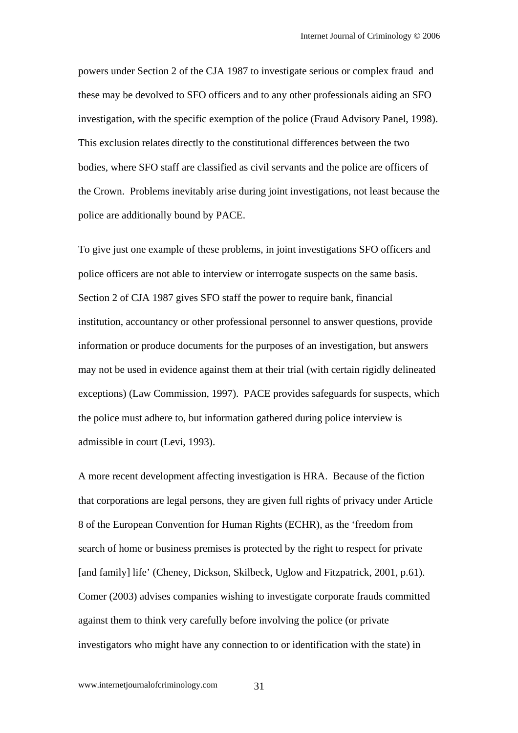powers under Section 2 of the CJA 1987 to investigate serious or complex fraud and these may be devolved to SFO officers and to any other professionals aiding an SFO investigation, with the specific exemption of the police (Fraud Advisory Panel, 1998). This exclusion relates directly to the constitutional differences between the two bodies, where SFO staff are classified as civil servants and the police are officers of the Crown. Problems inevitably arise during joint investigations, not least because the police are additionally bound by PACE.

To give just one example of these problems, in joint investigations SFO officers and police officers are not able to interview or interrogate suspects on the same basis. Section 2 of CJA 1987 gives SFO staff the power to require bank, financial institution, accountancy or other professional personnel to answer questions, provide information or produce documents for the purposes of an investigation, but answers may not be used in evidence against them at their trial (with certain rigidly delineated exceptions) (Law Commission, 1997). PACE provides safeguards for suspects, which the police must adhere to, but information gathered during police interview is admissible in court (Levi, 1993).

A more recent development affecting investigation is HRA. Because of the fiction that corporations are legal persons, they are given full rights of privacy under Article 8 of the European Convention for Human Rights (ECHR), as the 'freedom from search of home or business premises is protected by the right to respect for private [and family] life' (Cheney, Dickson, Skilbeck, Uglow and Fitzpatrick, 2001, p.61). Comer (2003) advises companies wishing to investigate corporate frauds committed against them to think very carefully before involving the police (or private investigators who might have any connection to or identification with the state) in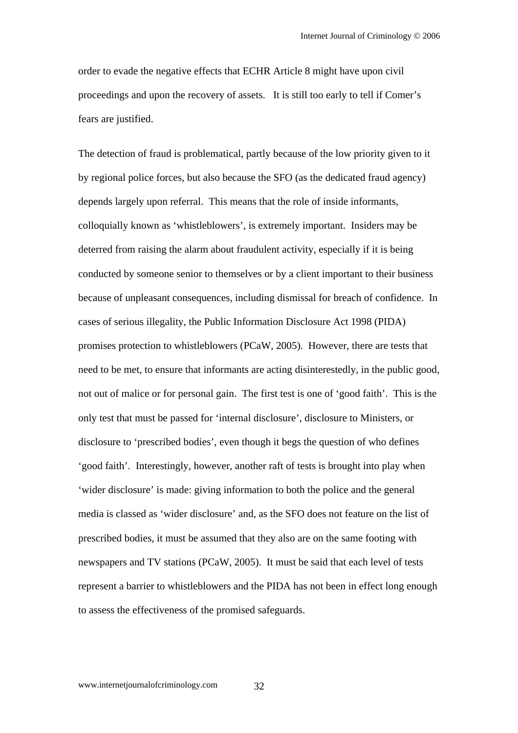order to evade the negative effects that ECHR Article 8 might have upon civil proceedings and upon the recovery of assets. It is still too early to tell if Comer's fears are justified.

The detection of fraud is problematical, partly because of the low priority given to it by regional police forces, but also because the SFO (as the dedicated fraud agency) depends largely upon referral. This means that the role of inside informants, colloquially known as 'whistleblowers', is extremely important. Insiders may be deterred from raising the alarm about fraudulent activity, especially if it is being conducted by someone senior to themselves or by a client important to their business because of unpleasant consequences, including dismissal for breach of confidence. In cases of serious illegality, the Public Information Disclosure Act 1998 (PIDA) promises protection to whistleblowers (PCaW, 2005). However, there are tests that need to be met, to ensure that informants are acting disinterestedly, in the public good, not out of malice or for personal gain. The first test is one of 'good faith'. This is the only test that must be passed for 'internal disclosure', disclosure to Ministers, or disclosure to 'prescribed bodies', even though it begs the question of who defines 'good faith'. Interestingly, however, another raft of tests is brought into play when 'wider disclosure' is made: giving information to both the police and the general media is classed as 'wider disclosure' and, as the SFO does not feature on the list of prescribed bodies, it must be assumed that they also are on the same footing with newspapers and TV stations (PCaW, 2005). It must be said that each level of tests represent a barrier to whistleblowers and the PIDA has not been in effect long enough to assess the effectiveness of the promised safeguards.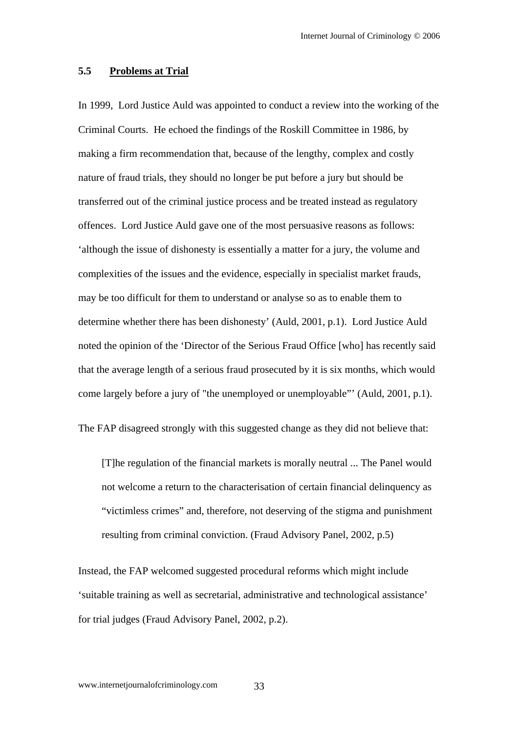#### **5.5 Problems at Trial**

In 1999, Lord Justice Auld was appointed to conduct a review into the working of the Criminal Courts. He echoed the findings of the Roskill Committee in 1986, by making a firm recommendation that, because of the lengthy, complex and costly nature of fraud trials, they should no longer be put before a jury but should be transferred out of the criminal justice process and be treated instead as regulatory offences. Lord Justice Auld gave one of the most persuasive reasons as follows: 'although the issue of dishonesty is essentially a matter for a jury, the volume and complexities of the issues and the evidence, especially in specialist market frauds, may be too difficult for them to understand or analyse so as to enable them to determine whether there has been dishonesty' (Auld, 2001, p.1). Lord Justice Auld noted the opinion of the 'Director of the Serious Fraud Office [who] has recently said that the average length of a serious fraud prosecuted by it is six months, which would come largely before a jury of "the unemployed or unemployable"' (Auld, 2001, p.1).

The FAP disagreed strongly with this suggested change as they did not believe that:

[T]he regulation of the financial markets is morally neutral ... The Panel would not welcome a return to the characterisation of certain financial delinquency as "victimless crimes" and, therefore, not deserving of the stigma and punishment resulting from criminal conviction. (Fraud Advisory Panel, 2002, p.5)

Instead, the FAP welcomed suggested procedural reforms which might include 'suitable training as well as secretarial, administrative and technological assistance' for trial judges (Fraud Advisory Panel, 2002, p.2).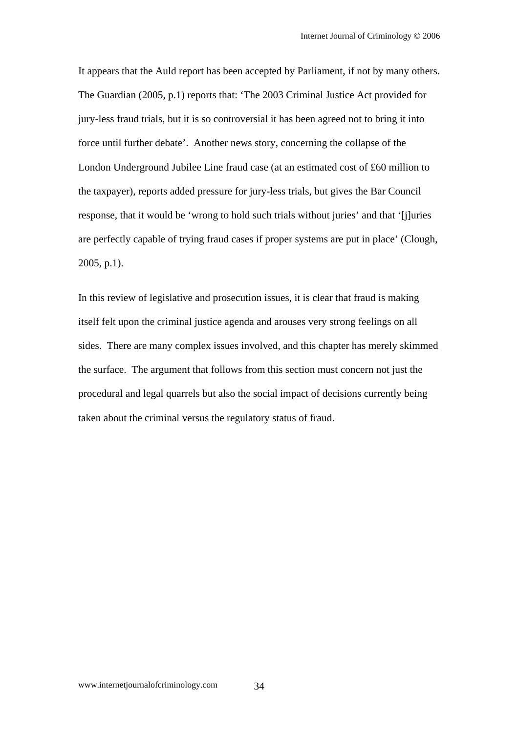It appears that the Auld report has been accepted by Parliament, if not by many others. The Guardian (2005, p.1) reports that: 'The 2003 Criminal Justice Act provided for jury-less fraud trials, but it is so controversial it has been agreed not to bring it into force until further debate'. Another news story, concerning the collapse of the London Underground Jubilee Line fraud case (at an estimated cost of £60 million to the taxpayer), reports added pressure for jury-less trials, but gives the Bar Council response, that it would be 'wrong to hold such trials without juries' and that '[j]uries are perfectly capable of trying fraud cases if proper systems are put in place' (Clough, 2005, p.1).

In this review of legislative and prosecution issues, it is clear that fraud is making itself felt upon the criminal justice agenda and arouses very strong feelings on all sides. There are many complex issues involved, and this chapter has merely skimmed the surface. The argument that follows from this section must concern not just the procedural and legal quarrels but also the social impact of decisions currently being taken about the criminal versus the regulatory status of fraud.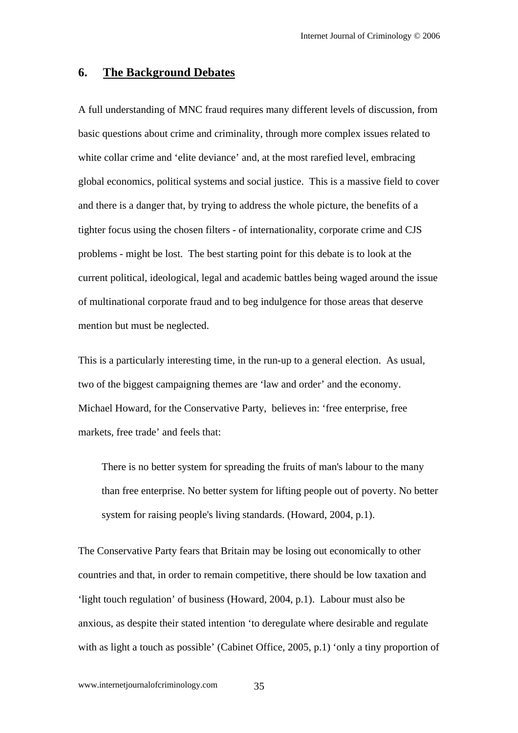#### **6. The Background Debates**

A full understanding of MNC fraud requires many different levels of discussion, from basic questions about crime and criminality, through more complex issues related to white collar crime and 'elite deviance' and, at the most rarefied level, embracing global economics, political systems and social justice. This is a massive field to cover and there is a danger that, by trying to address the whole picture, the benefits of a tighter focus using the chosen filters - of internationality, corporate crime and CJS problems - might be lost. The best starting point for this debate is to look at the current political, ideological, legal and academic battles being waged around the issue of multinational corporate fraud and to beg indulgence for those areas that deserve mention but must be neglected.

This is a particularly interesting time, in the run-up to a general election. As usual, two of the biggest campaigning themes are 'law and order' and the economy. Michael Howard, for the Conservative Party, believes in: 'free enterprise, free markets, free trade' and feels that:

There is no better system for spreading the fruits of man's labour to the many than free enterprise. No better system for lifting people out of poverty. No better system for raising people's living standards. (Howard, 2004, p.1).

The Conservative Party fears that Britain may be losing out economically to other countries and that, in order to remain competitive, there should be low taxation and 'light touch regulation' of business (Howard, 2004, p.1). Labour must also be anxious, as despite their stated intention 'to deregulate where desirable and regulate with as light a touch as possible' (Cabinet Office, 2005, p.1) 'only a tiny proportion of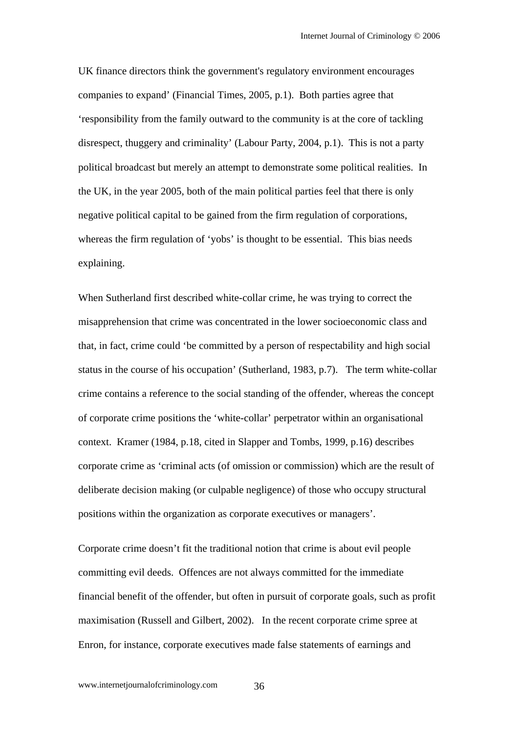UK finance directors think the government's regulatory environment encourages companies to expand' (Financial Times, 2005, p.1). Both parties agree that 'responsibility from the family outward to the community is at the core of tackling disrespect, thuggery and criminality' (Labour Party, 2004, p.1). This is not a party political broadcast but merely an attempt to demonstrate some political realities. In the UK, in the year 2005, both of the main political parties feel that there is only negative political capital to be gained from the firm regulation of corporations, whereas the firm regulation of 'yobs' is thought to be essential. This bias needs explaining.

When Sutherland first described white-collar crime, he was trying to correct the misapprehension that crime was concentrated in the lower socioeconomic class and that, in fact, crime could 'be committed by a person of respectability and high social status in the course of his occupation' (Sutherland, 1983, p.7). The term white-collar crime contains a reference to the social standing of the offender, whereas the concept of corporate crime positions the 'white-collar' perpetrator within an organisational context. Kramer (1984, p.18, cited in Slapper and Tombs, 1999, p.16) describes corporate crime as 'criminal acts (of omission or commission) which are the result of deliberate decision making (or culpable negligence) of those who occupy structural positions within the organization as corporate executives or managers'.

Corporate crime doesn't fit the traditional notion that crime is about evil people committing evil deeds. Offences are not always committed for the immediate financial benefit of the offender, but often in pursuit of corporate goals, such as profit maximisation (Russell and Gilbert, 2002). In the recent corporate crime spree at Enron, for instance, corporate executives made false statements of earnings and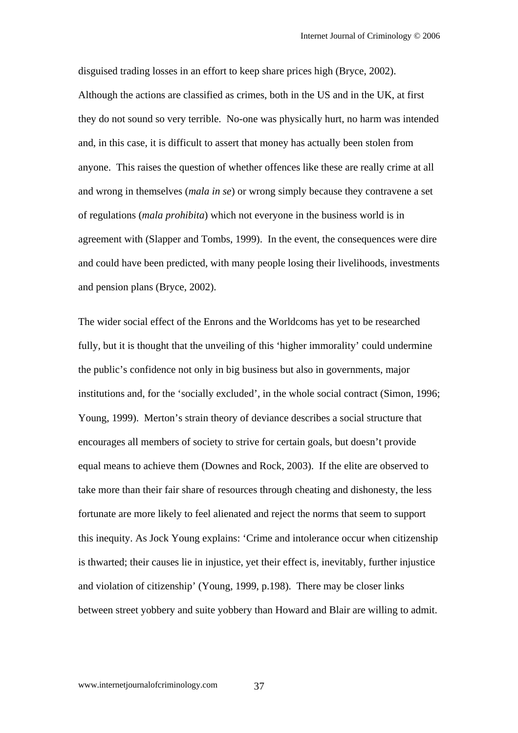disguised trading losses in an effort to keep share prices high (Bryce, 2002). Although the actions are classified as crimes, both in the US and in the UK, at first they do not sound so very terrible. No-one was physically hurt, no harm was intended and, in this case, it is difficult to assert that money has actually been stolen from anyone. This raises the question of whether offences like these are really crime at all and wrong in themselves (*mala in se*) or wrong simply because they contravene a set of regulations (*mala prohibita*) which not everyone in the business world is in agreement with (Slapper and Tombs, 1999). In the event, the consequences were dire and could have been predicted, with many people losing their livelihoods, investments and pension plans (Bryce, 2002).

The wider social effect of the Enrons and the Worldcoms has yet to be researched fully, but it is thought that the unveiling of this 'higher immorality' could undermine the public's confidence not only in big business but also in governments, major institutions and, for the 'socially excluded', in the whole social contract (Simon, 1996; Young, 1999). Merton's strain theory of deviance describes a social structure that encourages all members of society to strive for certain goals, but doesn't provide equal means to achieve them (Downes and Rock, 2003). If the elite are observed to take more than their fair share of resources through cheating and dishonesty, the less fortunate are more likely to feel alienated and reject the norms that seem to support this inequity. As Jock Young explains: 'Crime and intolerance occur when citizenship is thwarted; their causes lie in injustice, yet their effect is, inevitably, further injustice and violation of citizenship' (Young, 1999, p.198). There may be closer links between street yobbery and suite yobbery than Howard and Blair are willing to admit.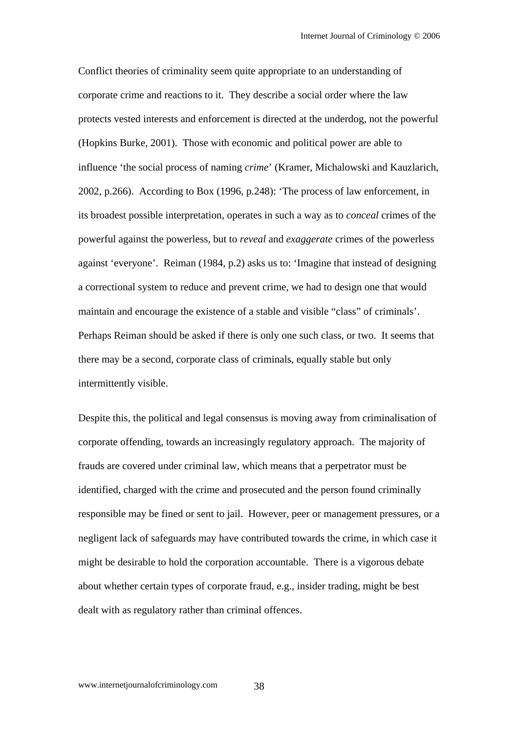Conflict theories of criminality seem quite appropriate to an understanding of corporate crime and reactions to it. They describe a social order where the law protects vested interests and enforcement is directed at the underdog, not the powerful (Hopkins Burke, 2001). Those with economic and political power are able to influence 'the social process of naming *crime*' (Kramer, Michalowski and Kauzlarich, 2002, p.266). According to Box (1996, p.248): 'The process of law enforcement, in its broadest possible interpretation, operates in such a way as to *conceal* crimes of the powerful against the powerless, but to *reveal* and *exaggerate* crimes of the powerless against 'everyone'. Reiman (1984, p.2) asks us to: 'Imagine that instead of designing a correctional system to reduce and prevent crime, we had to design one that would maintain and encourage the existence of a stable and visible "class" of criminals'. Perhaps Reiman should be asked if there is only one such class, or two. It seems that there may be a second, corporate class of criminals, equally stable but only intermittently visible.

Despite this, the political and legal consensus is moving away from criminalisation of corporate offending, towards an increasingly regulatory approach. The majority of frauds are covered under criminal law, which means that a perpetrator must be identified, charged with the crime and prosecuted and the person found criminally responsible may be fined or sent to jail. However, peer or management pressures, or a negligent lack of safeguards may have contributed towards the crime, in which case it might be desirable to hold the corporation accountable. There is a vigorous debate about whether certain types of corporate fraud, e.g., insider trading, might be best dealt with as regulatory rather than criminal offences.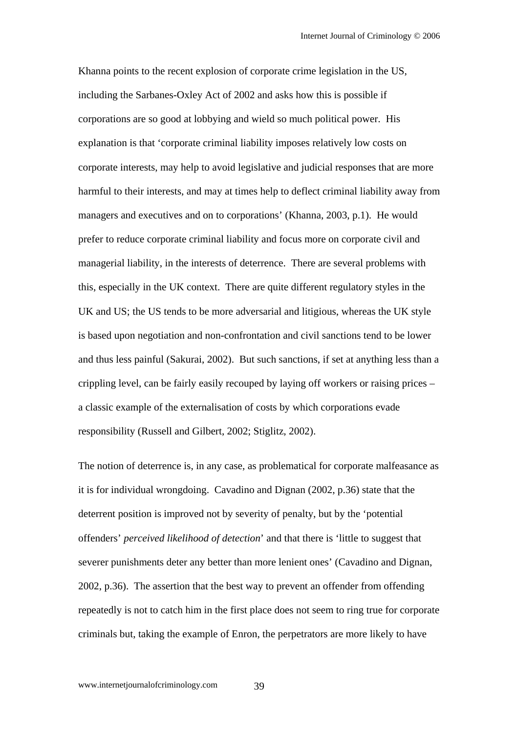Khanna points to the recent explosion of corporate crime legislation in the US, including the Sarbanes-Oxley Act of 2002 and asks how this is possible if corporations are so good at lobbying and wield so much political power. His explanation is that 'corporate criminal liability imposes relatively low costs on corporate interests, may help to avoid legislative and judicial responses that are more harmful to their interests, and may at times help to deflect criminal liability away from managers and executives and on to corporations' (Khanna, 2003, p.1). He would prefer to reduce corporate criminal liability and focus more on corporate civil and managerial liability, in the interests of deterrence. There are several problems with this, especially in the UK context. There are quite different regulatory styles in the UK and US; the US tends to be more adversarial and litigious, whereas the UK style is based upon negotiation and non-confrontation and civil sanctions tend to be lower and thus less painful (Sakurai, 2002). But such sanctions, if set at anything less than a crippling level, can be fairly easily recouped by laying off workers or raising prices – a classic example of the externalisation of costs by which corporations evade responsibility (Russell and Gilbert, 2002; Stiglitz, 2002).

The notion of deterrence is, in any case, as problematical for corporate malfeasance as it is for individual wrongdoing. Cavadino and Dignan (2002, p.36) state that the deterrent position is improved not by severity of penalty, but by the 'potential offenders' *perceived likelihood of detection*' and that there is 'little to suggest that severer punishments deter any better than more lenient ones' (Cavadino and Dignan, 2002, p.36). The assertion that the best way to prevent an offender from offending repeatedly is not to catch him in the first place does not seem to ring true for corporate criminals but, taking the example of Enron, the perpetrators are more likely to have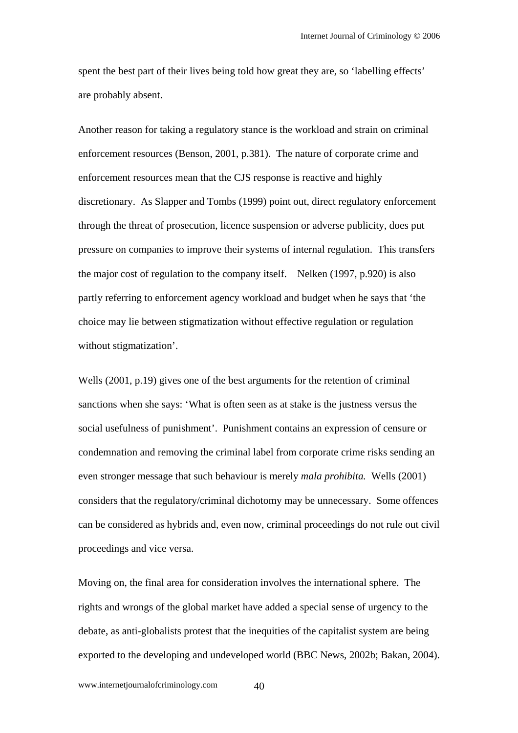spent the best part of their lives being told how great they are, so 'labelling effects' are probably absent.

Another reason for taking a regulatory stance is the workload and strain on criminal enforcement resources (Benson, 2001, p.381). The nature of corporate crime and enforcement resources mean that the CJS response is reactive and highly discretionary. As Slapper and Tombs (1999) point out, direct regulatory enforcement through the threat of prosecution, licence suspension or adverse publicity, does put pressure on companies to improve their systems of internal regulation. This transfers the major cost of regulation to the company itself. Nelken (1997, p.920) is also partly referring to enforcement agency workload and budget when he says that 'the choice may lie between stigmatization without effective regulation or regulation without stigmatization'.

Wells (2001, p.19) gives one of the best arguments for the retention of criminal sanctions when she says: 'What is often seen as at stake is the justness versus the social usefulness of punishment'. Punishment contains an expression of censure or condemnation and removing the criminal label from corporate crime risks sending an even stronger message that such behaviour is merely *mala prohibita.* Wells (2001) considers that the regulatory/criminal dichotomy may be unnecessary. Some offences can be considered as hybrids and, even now, criminal proceedings do not rule out civil proceedings and vice versa.

Moving on, the final area for consideration involves the international sphere. The rights and wrongs of the global market have added a special sense of urgency to the debate, as anti-globalists protest that the inequities of the capitalist system are being exported to the developing and undeveloped world (BBC News, 2002b; Bakan, 2004).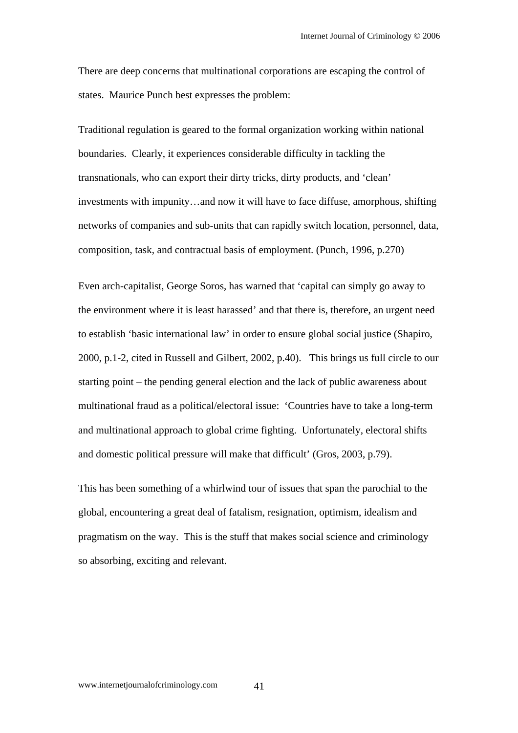There are deep concerns that multinational corporations are escaping the control of states. Maurice Punch best expresses the problem:

Traditional regulation is geared to the formal organization working within national boundaries. Clearly, it experiences considerable difficulty in tackling the transnationals, who can export their dirty tricks, dirty products, and 'clean' investments with impunity…and now it will have to face diffuse, amorphous, shifting networks of companies and sub-units that can rapidly switch location, personnel, data, composition, task, and contractual basis of employment. (Punch, 1996, p.270)

Even arch-capitalist, George Soros, has warned that 'capital can simply go away to the environment where it is least harassed' and that there is, therefore, an urgent need to establish 'basic international law' in order to ensure global social justice (Shapiro, 2000, p.1-2, cited in Russell and Gilbert, 2002, p.40). This brings us full circle to our starting point – the pending general election and the lack of public awareness about multinational fraud as a political/electoral issue: 'Countries have to take a long-term and multinational approach to global crime fighting. Unfortunately, electoral shifts and domestic political pressure will make that difficult' (Gros, 2003, p.79).

This has been something of a whirlwind tour of issues that span the parochial to the global, encountering a great deal of fatalism, resignation, optimism, idealism and pragmatism on the way. This is the stuff that makes social science and criminology so absorbing, exciting and relevant.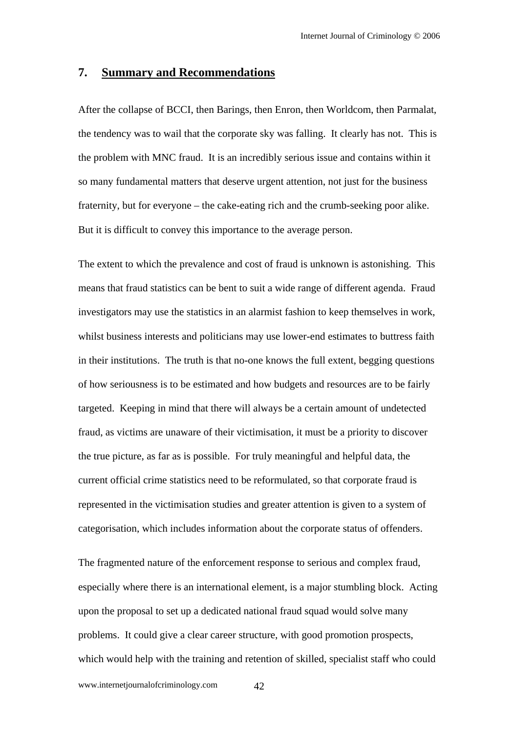#### **7. Summary and Recommendations**

After the collapse of BCCI, then Barings, then Enron, then Worldcom, then Parmalat, the tendency was to wail that the corporate sky was falling. It clearly has not. This is the problem with MNC fraud. It is an incredibly serious issue and contains within it so many fundamental matters that deserve urgent attention, not just for the business fraternity, but for everyone – the cake-eating rich and the crumb-seeking poor alike. But it is difficult to convey this importance to the average person.

The extent to which the prevalence and cost of fraud is unknown is astonishing. This means that fraud statistics can be bent to suit a wide range of different agenda. Fraud investigators may use the statistics in an alarmist fashion to keep themselves in work, whilst business interests and politicians may use lower-end estimates to buttress faith in their institutions. The truth is that no-one knows the full extent, begging questions of how seriousness is to be estimated and how budgets and resources are to be fairly targeted. Keeping in mind that there will always be a certain amount of undetected fraud, as victims are unaware of their victimisation, it must be a priority to discover the true picture, as far as is possible. For truly meaningful and helpful data, the current official crime statistics need to be reformulated, so that corporate fraud is represented in the victimisation studies and greater attention is given to a system of categorisation, which includes information about the corporate status of offenders.

The fragmented nature of the enforcement response to serious and complex fraud, especially where there is an international element, is a major stumbling block. Acting upon the proposal to set up a dedicated national fraud squad would solve many problems. It could give a clear career structure, with good promotion prospects, which would help with the training and retention of skilled, specialist staff who could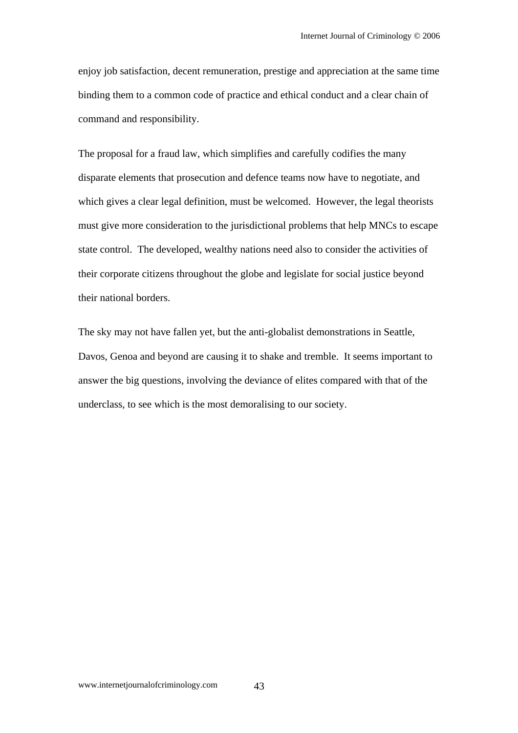enjoy job satisfaction, decent remuneration, prestige and appreciation at the same time binding them to a common code of practice and ethical conduct and a clear chain of command and responsibility.

The proposal for a fraud law, which simplifies and carefully codifies the many disparate elements that prosecution and defence teams now have to negotiate, and which gives a clear legal definition, must be welcomed. However, the legal theorists must give more consideration to the jurisdictional problems that help MNCs to escape state control. The developed, wealthy nations need also to consider the activities of their corporate citizens throughout the globe and legislate for social justice beyond their national borders.

The sky may not have fallen yet, but the anti-globalist demonstrations in Seattle, Davos, Genoa and beyond are causing it to shake and tremble. It seems important to answer the big questions, involving the deviance of elites compared with that of the underclass, to see which is the most demoralising to our society.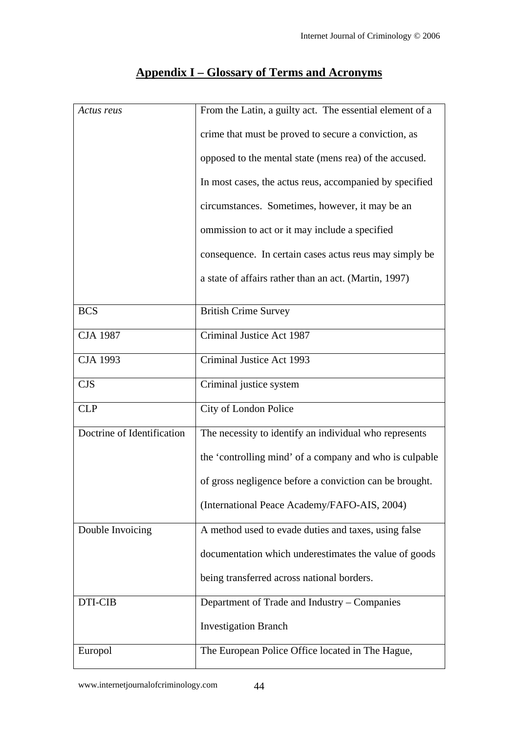| Actus reus                 | From the Latin, a guilty act. The essential element of a |
|----------------------------|----------------------------------------------------------|
|                            | crime that must be proved to secure a conviction, as     |
|                            | opposed to the mental state (mens rea) of the accused.   |
|                            | In most cases, the actus reus, accompanied by specified  |
|                            | circumstances. Sometimes, however, it may be an          |
|                            | ommission to act or it may include a specified           |
|                            | consequence. In certain cases actus reus may simply be   |
|                            | a state of affairs rather than an act. (Martin, 1997)    |
| <b>BCS</b>                 | <b>British Crime Survey</b>                              |
| <b>CJA 1987</b>            | Criminal Justice Act 1987                                |
| <b>CJA 1993</b>            | Criminal Justice Act 1993                                |
| <b>CJS</b>                 | Criminal justice system                                  |
| <b>CLP</b>                 | City of London Police                                    |
| Doctrine of Identification | The necessity to identify an individual who represents   |
|                            | the 'controlling mind' of a company and who is culpable  |
|                            | of gross negligence before a conviction can be brought.  |
|                            | (International Peace Academy/FAFO-AIS, 2004)             |
| Double Invoicing           | A method used to evade duties and taxes, using false     |
|                            | documentation which underestimates the value of goods    |
|                            | being transferred across national borders.               |
| DTI-CIB                    | Department of Trade and Industry – Companies             |
|                            | <b>Investigation Branch</b>                              |
| Europol                    | The European Police Office located in The Hague,         |

# **Appendix I – Glossary of Terms and Acronyms**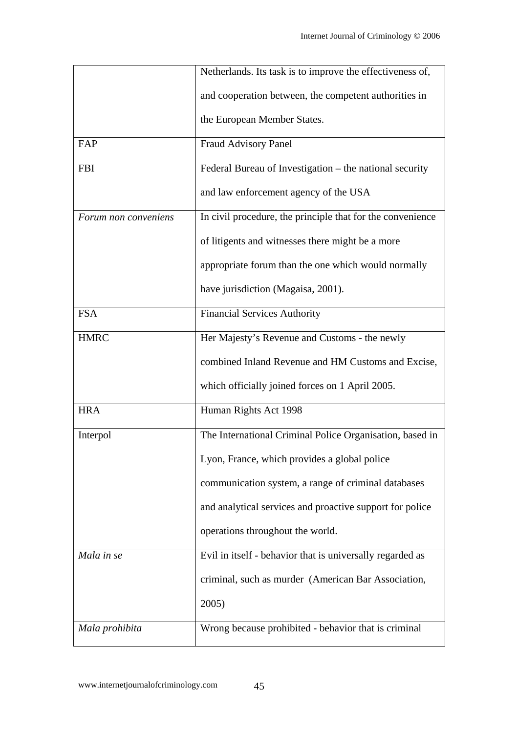|                      | Netherlands. Its task is to improve the effectiveness of,  |
|----------------------|------------------------------------------------------------|
|                      | and cooperation between, the competent authorities in      |
|                      | the European Member States.                                |
| FAP                  | Fraud Advisory Panel                                       |
| <b>FBI</b>           | Federal Bureau of Investigation – the national security    |
|                      | and law enforcement agency of the USA                      |
| Forum non conveniens | In civil procedure, the principle that for the convenience |
|                      | of litigents and witnesses there might be a more           |
|                      | appropriate forum than the one which would normally        |
|                      | have jurisdiction (Magaisa, 2001).                         |
| <b>FSA</b>           | <b>Financial Services Authority</b>                        |
| <b>HMRC</b>          | Her Majesty's Revenue and Customs - the newly              |
|                      | combined Inland Revenue and HM Customs and Excise,         |
|                      | which officially joined forces on 1 April 2005.            |
| <b>HRA</b>           | Human Rights Act 1998                                      |
| Interpol             | The International Criminal Police Organisation, based in   |
|                      | Lyon, France, which provides a global police               |
|                      | communication system, a range of criminal databases        |
|                      | and analytical services and proactive support for police   |
|                      | operations throughout the world.                           |
| Mala in se           | Evil in itself - behavior that is universally regarded as  |
|                      | criminal, such as murder (American Bar Association,        |
|                      | 2005)                                                      |
| Mala prohibita       | Wrong because prohibited - behavior that is criminal       |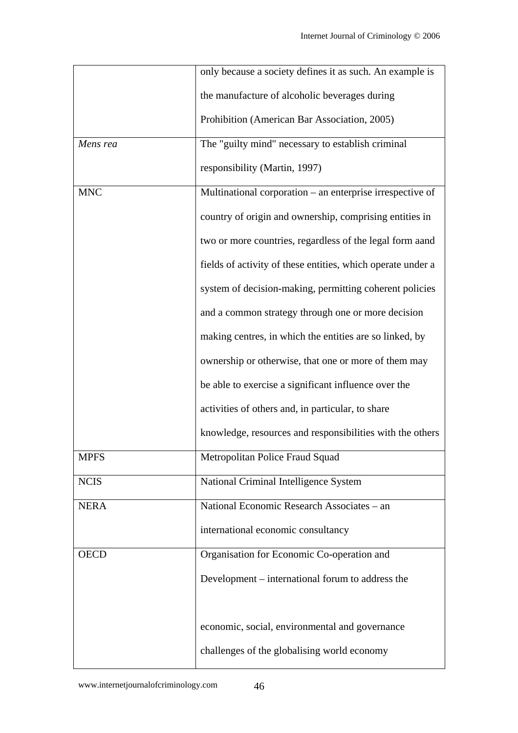|             | only because a society defines it as such. An example is    |
|-------------|-------------------------------------------------------------|
|             | the manufacture of alcoholic beverages during               |
|             | Prohibition (American Bar Association, 2005)                |
| Mens rea    | The "guilty mind" necessary to establish criminal           |
|             | responsibility (Martin, 1997)                               |
| <b>MNC</b>  | Multinational corporation – an enterprise irrespective of   |
|             | country of origin and ownership, comprising entities in     |
|             | two or more countries, regardless of the legal form aand    |
|             | fields of activity of these entities, which operate under a |
|             | system of decision-making, permitting coherent policies     |
|             | and a common strategy through one or more decision          |
|             | making centres, in which the entities are so linked, by     |
|             | ownership or otherwise, that one or more of them may        |
|             | be able to exercise a significant influence over the        |
|             | activities of others and, in particular, to share           |
|             | knowledge, resources and responsibilities with the others   |
| <b>MPFS</b> | Metropolitan Police Fraud Squad                             |
| <b>NCIS</b> | National Criminal Intelligence System                       |
| <b>NERA</b> | National Economic Research Associates - an                  |
|             | international economic consultancy                          |
| <b>OECD</b> | Organisation for Economic Co-operation and                  |
|             | Development – international forum to address the            |
|             |                                                             |
|             | economic, social, environmental and governance              |
|             | challenges of the globalising world economy                 |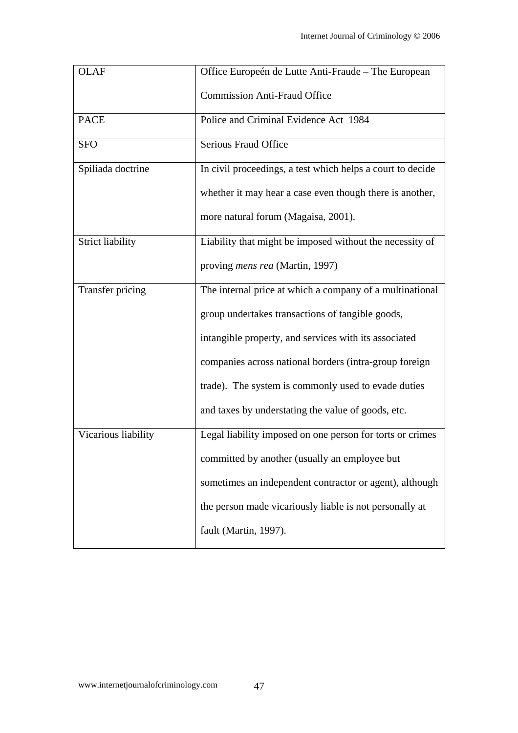| <b>OLAF</b>             | Office Europeén de Lutte Anti-Fraude - The European        |
|-------------------------|------------------------------------------------------------|
|                         | <b>Commission Anti-Fraud Office</b>                        |
| <b>PACE</b>             | Police and Criminal Evidence Act 1984                      |
| <b>SFO</b>              | Serious Fraud Office                                       |
| Spiliada doctrine       | In civil proceedings, a test which helps a court to decide |
|                         | whether it may hear a case even though there is another,   |
|                         | more natural forum (Magaisa, 2001).                        |
| <b>Strict liability</b> | Liability that might be imposed without the necessity of   |
|                         | proving <i>mens rea</i> (Martin, 1997)                     |
| Transfer pricing        | The internal price at which a company of a multinational   |
|                         | group undertakes transactions of tangible goods,           |
|                         | intangible property, and services with its associated      |
|                         | companies across national borders (intra-group foreign     |
|                         | trade). The system is commonly used to evade duties        |
|                         | and taxes by understating the value of goods, etc.         |
| Vicarious liability     | Legal liability imposed on one person for torts or crimes  |
|                         | committed by another (usually an employee but              |
|                         | sometimes an independent contractor or agent), although    |
|                         | the person made vicariously liable is not personally at    |
|                         | fault (Martin, 1997).                                      |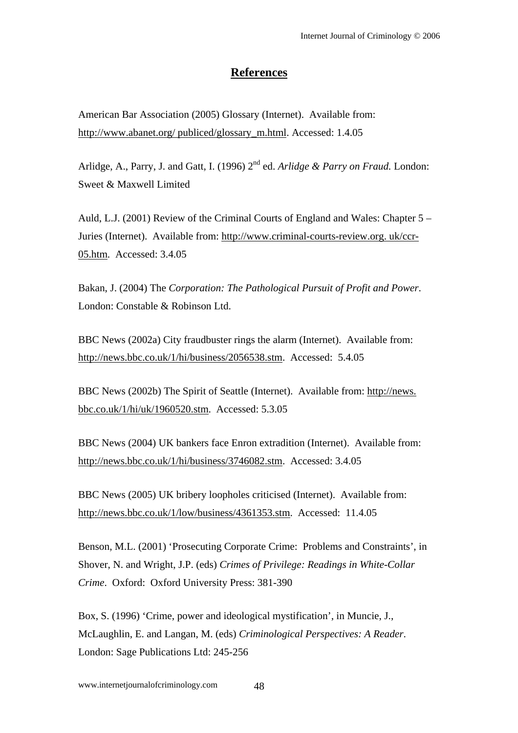## **References**

American Bar Association (2005) Glossary (Internet). Available from: http://www.abanet.org/ publiced/glossary\_m.html. Accessed: 1.4.05

Arlidge, A., Parry, J. and Gatt, I. (1996) 2<sup>nd</sup> ed. *Arlidge & Parry on Fraud.* London: Sweet & Maxwell Limited

Auld, L.J. (2001) Review of the Criminal Courts of England and Wales: Chapter 5 – Juries (Internet). Available from: http://www.criminal-courts-review.org. uk/ccr-05.htm. Accessed: 3.4.05

Bakan, J. (2004) The *Corporation: The Pathological Pursuit of Profit and Power*. London: Constable & Robinson Ltd.

BBC News (2002a) City fraudbuster rings the alarm (Internet). Available from: http://news.bbc.co.uk/1/hi/business/2056538.stm. Accessed: 5.4.05

BBC News (2002b) The Spirit of Seattle (Internet). Available from: http://news. bbc.co.uk/1/hi/uk/1960520.stm. Accessed: 5.3.05

BBC News (2004) UK bankers face Enron extradition (Internet). Available from: http://news.bbc.co.uk/1/hi/business/3746082.stm. Accessed: 3.4.05

BBC News (2005) UK bribery loopholes criticised (Internet). Available from: http://news.bbc.co.uk/1/low/business/4361353.stm. Accessed: 11.4.05

Benson, M.L. (2001) 'Prosecuting Corporate Crime: Problems and Constraints', in Shover, N. and Wright, J.P. (eds) *Crimes of Privilege: Readings in White-Collar Crime*. Oxford: Oxford University Press: 381-390

Box, S. (1996) 'Crime, power and ideological mystification', in Muncie, J., McLaughlin, E. and Langan, M. (eds) *Criminological Perspectives: A Reader*. London: Sage Publications Ltd: 245-256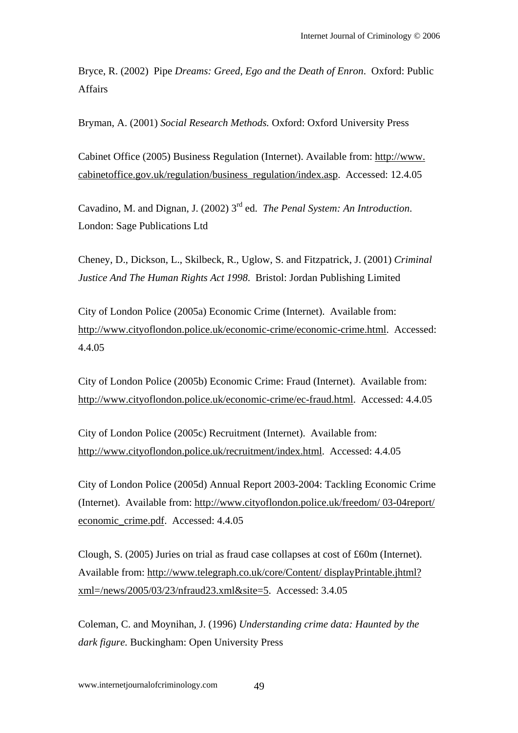Bryce, R. (2002) Pipe *Dreams: Greed, Ego and the Death of Enron*. Oxford: Public Affairs

Bryman, A. (2001) *Social Research Methods.* Oxford: Oxford University Press

Cabinet Office (2005) Business Regulation (Internet). Available from: http://www. cabinetoffice.gov.uk/regulation/business\_regulation/index.asp. Accessed: 12.4.05

Cavadino, M. and Dignan, J. (2002) 3rd ed. *The Penal System: An Introduction*. London: Sage Publications Ltd

Cheney, D., Dickson, L., Skilbeck, R., Uglow, S. and Fitzpatrick, J. (2001) *Criminal Justice And The Human Rights Act 1998*. Bristol: Jordan Publishing Limited

City of London Police (2005a) Economic Crime (Internet). Available from: http://www.cityoflondon.police.uk/economic-crime/economic-crime.html. Accessed: 4.4.05

City of London Police (2005b) Economic Crime: Fraud (Internet). Available from: http://www.cityoflondon.police.uk/economic-crime/ec-fraud.html. Accessed: 4.4.05

City of London Police (2005c) Recruitment (Internet). Available from: http://www.cityoflondon.police.uk/recruitment/index.html. Accessed: 4.4.05

City of London Police (2005d) Annual Report 2003-2004: Tackling Economic Crime (Internet). Available from: http://www.cityoflondon.police.uk/freedom/ 03-04report/ economic\_crime.pdf. Accessed: 4.4.05

Clough, S. (2005) Juries on trial as fraud case collapses at cost of £60m (Internet). Available from: http://www.telegraph.co.uk/core/Content/ displayPrintable.jhtml? xml=/news/2005/03/23/nfraud23.xml&site=5. Accessed: 3.4.05

Coleman, C. and Moynihan, J. (1996) *Understanding crime data: Haunted by the dark figure.* Buckingham: Open University Press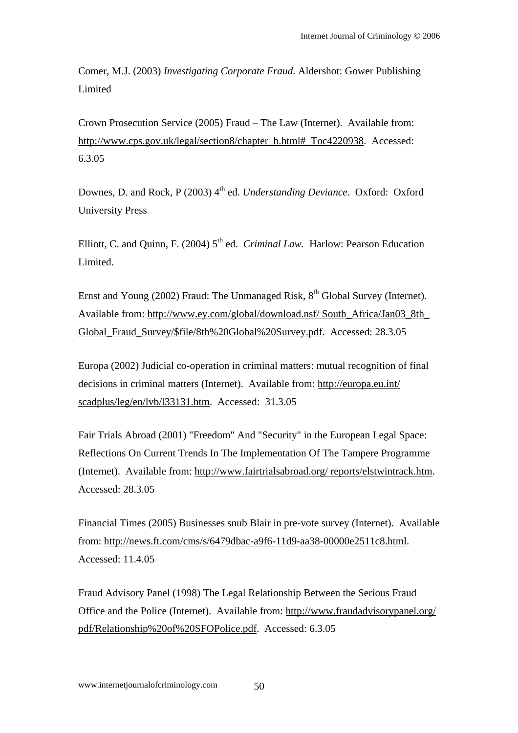Comer, M.J. (2003) *Investigating Corporate Fraud.* Aldershot: Gower Publishing Limited

Crown Prosecution Service (2005) Fraud – The Law (Internet). Available from: http://www.cps.gov.uk/legal/section8/chapter\_b.html#\_Toc4220938. Accessed: 6.3.05

Downes, D. and Rock, P (2003) 4<sup>th</sup> ed. *Understanding Deviance*. Oxford: Oxford University Press

Elliott, C. and Ouinn, F. (2004) 5<sup>th</sup> ed. *Criminal Law.* Harlow: Pearson Education Limited.

Ernst and Young (2002) Fraud: The Unmanaged Risk,  $8<sup>th</sup>$  Global Survey (Internet). Available from: http://www.ey.com/global/download.nsf/ South\_Africa/Jan03\_8th\_ Global\_Fraud\_Survey/\$file/8th%20Global%20Survey.pdf. Accessed: 28.3.05

Europa (2002) Judicial co-operation in criminal matters: mutual recognition of final decisions in criminal matters (Internet). Available from: http://europa.eu.int/ scadplus/leg/en/lvb/l33131.htm. Accessed: 31.3.05

Fair Trials Abroad (2001) "Freedom" And "Security" in the European Legal Space: Reflections On Current Trends In The Implementation Of The Tampere Programme (Internet). Available from: http://www.fairtrialsabroad.org/ reports/elstwintrack.htm. Accessed: 28.3.05

Financial Times (2005) Businesses snub Blair in pre-vote survey (Internet). Available from: http://news.ft.com/cms/s/6479dbac-a9f6-11d9-aa38-00000e2511c8.html. Accessed: 11.4.05

Fraud Advisory Panel (1998) The Legal Relationship Between the Serious Fraud Office and the Police (Internet). Available from: http://www.fraudadvisorypanel.org/ pdf/Relationship%20of%20SFOPolice.pdf. Accessed: 6.3.05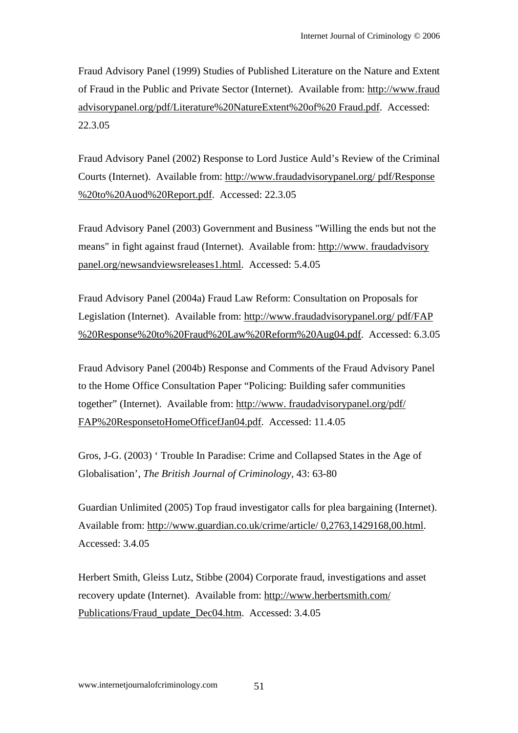Fraud Advisory Panel (1999) Studies of Published Literature on the Nature and Extent of Fraud in the Public and Private Sector (Internet). Available from: http://www.fraud advisorypanel.org/pdf/Literature%20NatureExtent%20of%20 Fraud.pdf. Accessed: 22.3.05

Fraud Advisory Panel (2002) Response to Lord Justice Auld's Review of the Criminal Courts (Internet). Available from: http://www.fraudadvisorypanel.org/ pdf/Response %20to%20Auod%20Report.pdf. Accessed: 22.3.05

Fraud Advisory Panel (2003) Government and Business "Willing the ends but not the means" in fight against fraud (Internet). Available from: http://www. fraudadvisory panel.org/newsandviewsreleases1.html. Accessed: 5.4.05

Fraud Advisory Panel (2004a) Fraud Law Reform: Consultation on Proposals for Legislation (Internet). Available from: http://www.fraudadvisorypanel.org/ pdf/FAP %20Response%20to%20Fraud%20Law%20Reform%20Aug04.pdf. Accessed: 6.3.05

Fraud Advisory Panel (2004b) Response and Comments of the Fraud Advisory Panel to the Home Office Consultation Paper "Policing: Building safer communities together" (Internet). Available from: http://www. fraudadvisorypanel.org/pdf/ FAP%20ResponsetoHomeOfficefJan04.pdf. Accessed: 11.4.05

Gros, J-G. (2003) ' Trouble In Paradise: Crime and Collapsed States in the Age of Globalisation', *The British Journal of Criminology,* 43: 63-80

Guardian Unlimited (2005) Top fraud investigator calls for plea bargaining (Internet). Available from: http://www.guardian.co.uk/crime/article/ 0,2763,1429168,00.html. Accessed: 3.4.05

Herbert Smith, Gleiss Lutz, Stibbe (2004) Corporate fraud, investigations and asset recovery update (Internet). Available from: http://www.herbertsmith.com/ Publications/Fraud\_update\_Dec04.htm. Accessed: 3.4.05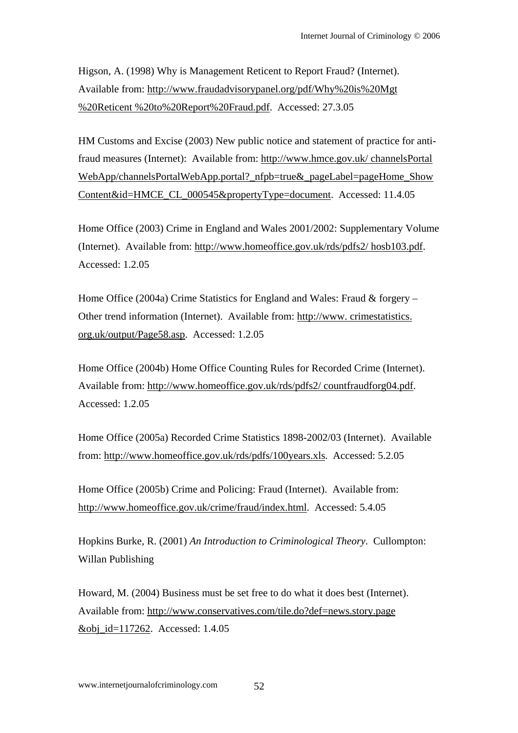Higson, A. (1998) Why is Management Reticent to Report Fraud? (Internet). Available from: http://www.fraudadvisorypanel.org/pdf/Why%20is%20Mgt %20Reticent %20to%20Report%20Fraud.pdf. Accessed: 27.3.05

HM Customs and Excise (2003) New public notice and statement of practice for antifraud measures (Internet): Available from: http://www.hmce.gov.uk/ channelsPortal WebApp/channelsPortalWebApp.portal?\_nfpb=true&\_pageLabel=pageHome\_Show Content&id=HMCE\_CL\_000545&propertyType=document. Accessed: 11.4.05

Home Office (2003) Crime in England and Wales 2001/2002: Supplementary Volume (Internet). Available from: http://www.homeoffice.gov.uk/rds/pdfs2/ hosb103.pdf. Accessed: 1.2.05

Home Office (2004a) Crime Statistics for England and Wales: Fraud & forgery – Other trend information (Internet). Available from: http://www. crimestatistics. org.uk/output/Page58.asp. Accessed: 1.2.05

Home Office (2004b) Home Office Counting Rules for Recorded Crime (Internet). Available from: http://www.homeoffice.gov.uk/rds/pdfs2/ countfraudforg04.pdf. Accessed: 1.2.05

Home Office (2005a) Recorded Crime Statistics 1898-2002/03 (Internet). Available from: http://www.homeoffice.gov.uk/rds/pdfs/100years.xls. Accessed: 5.2.05

Home Office (2005b) Crime and Policing: Fraud (Internet). Available from: http://www.homeoffice.gov.uk/crime/fraud/index.html. Accessed: 5.4.05

Hopkins Burke, R. (2001) *An Introduction to Criminological Theory*. Cullompton: Willan Publishing

Howard, M. (2004) Business must be set free to do what it does best (Internet). Available from: http://www.conservatives.com/tile.do?def=news.story.page &obj\_id=117262. Accessed: 1.4.05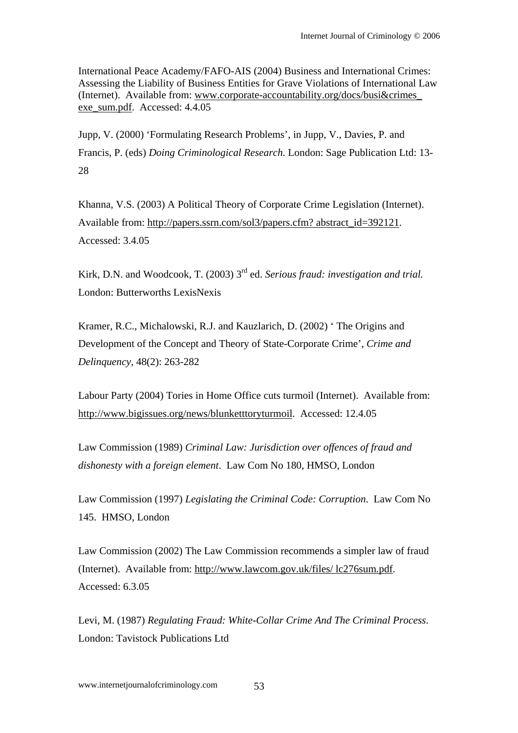International Peace Academy/FAFO-AIS (2004) Business and International Crimes: Assessing the Liability of Business Entities for Grave Violations of International Law (Internet). Available from: www.corporate-accountability.org/docs/busi&crimes\_ exe\_sum.pdf. Accessed: 4.4.05

Jupp, V. (2000) 'Formulating Research Problems', in Jupp, V., Davies, P. and Francis, P. (eds) *Doing Criminological Research.* London: Sage Publication Ltd: 13- 28

Khanna, V.S. (2003) A Political Theory of Corporate Crime Legislation (Internet). Available from: http://papers.ssrn.com/sol3/papers.cfm? abstract\_id=392121. Accessed: 3.4.05

Kirk, D.N. and Woodcook, T. (2003) 3rd ed. *Serious fraud: investigation and trial.*  London: Butterworths LexisNexis

Kramer, R.C., Michalowski, R.J. and Kauzlarich, D. (2002) ' The Origins and Development of the Concept and Theory of State-Corporate Crime', *Crime and Delinquency,* 48(2): 263-282

Labour Party (2004) Tories in Home Office cuts turmoil (Internet). Available from: http://www.bigissues.org/news/blunketttoryturmoil. Accessed: 12.4.05

Law Commission (1989) *Criminal Law: Jurisdiction over offences of fraud and dishonesty with a foreign element*. Law Com No 180, HMSO, London

Law Commission (1997) *Legislating the Criminal Code: Corruption*. Law Com No 145. HMSO, London

Law Commission (2002) The Law Commission recommends a simpler law of fraud (Internet). Available from: http://www.lawcom.gov.uk/files/ lc276sum.pdf. Accessed: 6.3.05

Levi, M. (1987) *Regulating Fraud: White-Collar Crime And The Criminal Process*. London: Tavistock Publications Ltd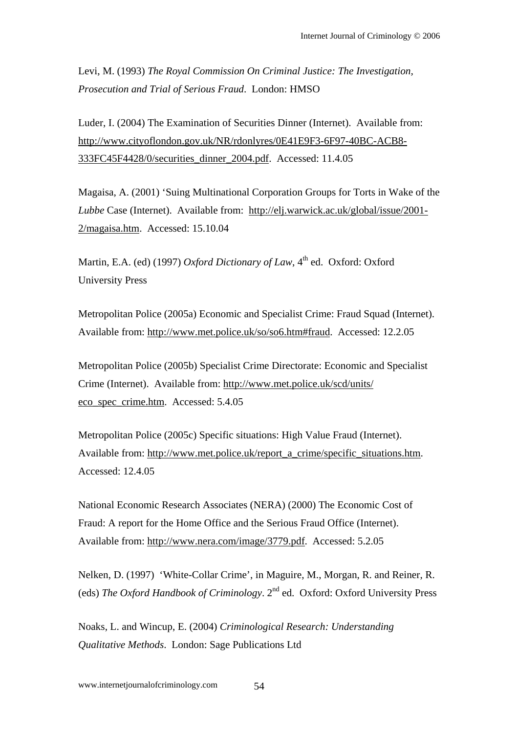Levi, M. (1993) *The Royal Commission On Criminal Justice: The Investigation, Prosecution and Trial of Serious Fraud*. London: HMSO

Luder, I. (2004) The Examination of Securities Dinner (Internet). Available from: http://www.cityoflondon.gov.uk/NR/rdonlyres/0E41E9F3-6F97-40BC-ACB8- 333FC45F4428/0/securities\_dinner\_2004.pdf. Accessed: 11.4.05

Magaisa, A. (2001) 'Suing Multinational Corporation Groups for Torts in Wake of the *Lubbe* Case (Internet). Available from: http://elj.warwick.ac.uk/global/issue/2001- 2/magaisa.htm. Accessed: 15.10.04

Martin, E.A. (ed) (1997) *Oxford Dictionary of Law*, 4<sup>th</sup> ed. Oxford: Oxford University Press

Metropolitan Police (2005a) Economic and Specialist Crime: Fraud Squad (Internet). Available from: http://www.met.police.uk/so/so6.htm#fraud. Accessed: 12.2.05

Metropolitan Police (2005b) Specialist Crime Directorate: Economic and Specialist Crime (Internet). Available from: http://www.met.police.uk/scd/units/ eco\_spec\_crime.htm. Accessed: 5.4.05

Metropolitan Police (2005c) Specific situations: High Value Fraud (Internet). Available from: http://www.met.police.uk/report\_a\_crime/specific\_situations.htm. Accessed: 12.4.05

National Economic Research Associates (NERA) (2000) The Economic Cost of Fraud: A report for the Home Office and the Serious Fraud Office (Internet). Available from: http://www.nera.com/image/3779.pdf. Accessed: 5.2.05

Nelken, D. (1997) 'White-Collar Crime', in Maguire, M., Morgan, R. and Reiner, R. (eds) *The Oxford Handbook of Criminology*. 2nd ed. Oxford: Oxford University Press

Noaks, L. and Wincup, E. (2004) *Criminological Research: Understanding Qualitative Methods*. London: Sage Publications Ltd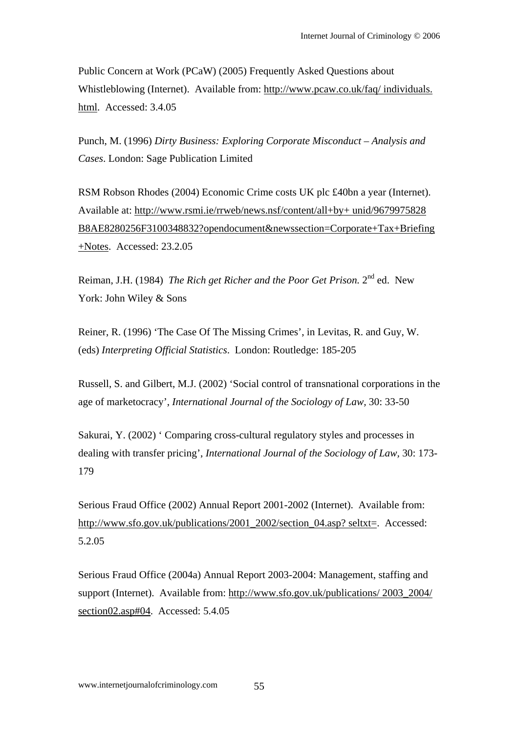Public Concern at Work (PCaW) (2005) Frequently Asked Questions about Whistleblowing (Internet). Available from: http://www.pcaw.co.uk/faq/ individuals. html. Accessed: 3.4.05

Punch, M. (1996) *Dirty Business: Exploring Corporate Misconduct – Analysis and Cases*. London: Sage Publication Limited

RSM Robson Rhodes (2004) Economic Crime costs UK plc £40bn a year (Internet). Available at: http://www.rsmi.ie/rrweb/news.nsf/content/all+by+ unid/9679975828 B8AE8280256F3100348832?opendocument&newssection=Corporate+Tax+Briefing +Notes. Accessed: 23.2.05

Reiman, J.H. (1984) *The Rich get Richer and the Poor Get Prison.* 2nd ed. New York: John Wiley & Sons

Reiner, R. (1996) 'The Case Of The Missing Crimes', in Levitas, R. and Guy, W. (eds) *Interpreting Official Statistics*. London: Routledge: 185-205

Russell, S. and Gilbert, M.J. (2002) 'Social control of transnational corporations in the age of marketocracy', *International Journal of the Sociology of Law,* 30: 33-50

Sakurai, Y. (2002) ' Comparing cross-cultural regulatory styles and processes in dealing with transfer pricing', *International Journal of the Sociology of Law,* 30: 173- 179

Serious Fraud Office (2002) Annual Report 2001-2002 (Internet). Available from: http://www.sfo.gov.uk/publications/2001\_2002/section\_04.asp? seltxt=. Accessed: 5.2.05

Serious Fraud Office (2004a) Annual Report 2003-2004: Management, staffing and support (Internet). Available from: http://www.sfo.gov.uk/publications/ 2003\_2004/ section02.asp#04. Accessed: 5.4.05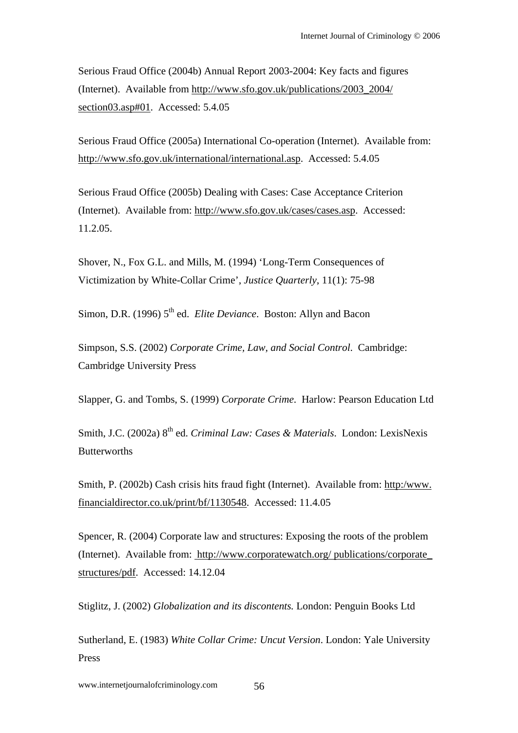Serious Fraud Office (2004b) Annual Report 2003-2004: Key facts and figures (Internet). Available from http://www.sfo.gov.uk/publications/2003\_2004/ section03.asp#01. Accessed: 5.4.05

Serious Fraud Office (2005a) International Co-operation (Internet). Available from: http://www.sfo.gov.uk/international/international.asp. Accessed: 5.4.05

Serious Fraud Office (2005b) Dealing with Cases: Case Acceptance Criterion (Internet). Available from: http://www.sfo.gov.uk/cases/cases.asp. Accessed: 11.2.05.

Shover, N., Fox G.L. and Mills, M. (1994) 'Long-Term Consequences of Victimization by White-Collar Crime', *Justice Quarterly*, 11(1): 75-98

Simon, D.R. (1996) 5<sup>th</sup> ed. *Elite Deviance*. Boston: Allyn and Bacon

Simpson, S.S. (2002) *Corporate Crime, Law, and Social Control*. Cambridge: Cambridge University Press

Slapper, G. and Tombs, S. (1999) *Corporate Crime*. Harlow: Pearson Education Ltd

Smith, J.C. (2002a) 8th ed. *Criminal Law: Cases & Materials*. London: LexisNexis **Butterworths** 

Smith, P. (2002b) Cash crisis hits fraud fight (Internet). Available from: http:/www. financialdirector.co.uk/print/bf/1130548. Accessed: 11.4.05

Spencer, R. (2004) Corporate law and structures: Exposing the roots of the problem (Internet). Available from: http://www.corporatewatch.org/ publications/corporate\_ structures/pdf. Accessed: 14.12.04

Stiglitz, J. (2002) *Globalization and its discontents.* London: Penguin Books Ltd

Sutherland, E. (1983) *White Collar Crime: Uncut Version*. London: Yale University Press